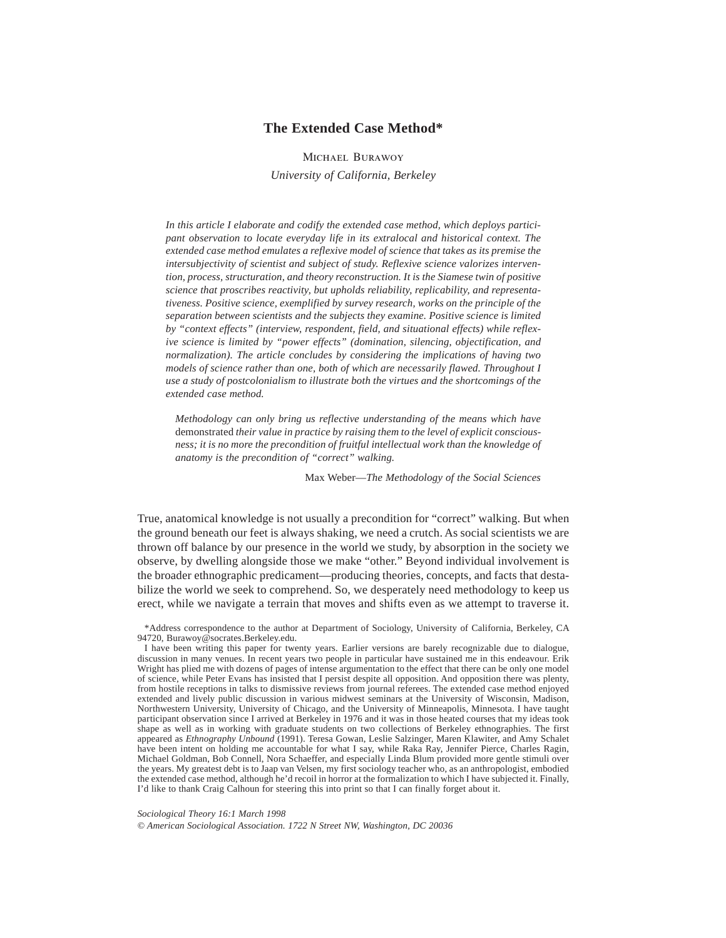# **The Extended Case Method\***

Michael Burawoy *University of California, Berkeley*

*In this article I elaborate and codify the extended case method, which deploys participant observation to locate everyday life in its extralocal and historical context. The extended case method emulates a reflexive model of science that takes as its premise the intersubjectivity of scientist and subject of study. Reflexive science valorizes intervention, process, structuration, and theory reconstruction. It is the Siamese twin of positive science that proscribes reactivity, but upholds reliability, replicability, and representativeness. Positive science, exemplified by survey research, works on the principle of the separation between scientists and the subjects they examine. Positive science is limited by "context effects" (interview, respondent, field, and situational effects) while reflexive science is limited by "power effects" (domination, silencing, objectification, and normalization). The article concludes by considering the implications of having two models of science rather than one, both of which are necessarily flawed. Throughout I use a study of postcolonialism to illustrate both the virtues and the shortcomings of the extended case method.*

*Methodology can only bring us reflective understanding of the means which have* demonstrated *their value in practice by raising them to the level of explicit consciousness; it is no more the precondition of fruitful intellectual work than the knowledge of anatomy is the precondition of "correct" walking.*

Max Weber—*The Methodology of the Social Sciences*

True, anatomical knowledge is not usually a precondition for "correct" walking. But when the ground beneath our feet is always shaking, we need a crutch. As social scientists we are thrown off balance by our presence in the world we study, by absorption in the society we observe, by dwelling alongside those we make "other." Beyond individual involvement is the broader ethnographic predicament—producing theories, concepts, and facts that destabilize the world we seek to comprehend. So, we desperately need methodology to keep us erect, while we navigate a terrain that moves and shifts even as we attempt to traverse it.

\*Address correspondence to the author at Department of Sociology, University of California, Berkeley, CA 94720, Burawoy@socrates.Berkeley.edu.

I have been writing this paper for twenty years. Earlier versions are barely recognizable due to dialogue, discussion in many venues. In recent years two people in particular have sustained me in this endeavour. Erik Wright has plied me with dozens of pages of intense argumentation to the effect that there can be only one model of science, while Peter Evans has insisted that I persist despite all opposition. And opposition there was plenty, from hostile receptions in talks to dismissive reviews from journal referees. The extended case method enjoyed extended and lively public discussion in various midwest seminars at the University of Wisconsin, Madison, Northwestern University, University of Chicago, and the University of Minneapolis, Minnesota. I have taught participant observation since I arrived at Berkeley in 1976 and it was in those heated courses that my ideas took shape as well as in working with graduate students on two collections of Berkeley ethnographies. The first appeared as *Ethnography Unbound* (1991). Teresa Gowan, Leslie Salzinger, Maren Klawiter, and Amy Schalet have been intent on holding me accountable for what I say, while Raka Ray, Jennifer Pierce, Charles Ragin, Michael Goldman, Bob Connell, Nora Schaeffer, and especially Linda Blum provided more gentle stimuli over the years. My greatest debt is to Jaap van Velsen, my first sociology teacher who, as an anthropologist, embodied the extended case method, although he'd recoil in horror at the formalization to which I have subjected it. Finally, I'd like to thank Craig Calhoun for steering this into print so that I can finally forget about it.

*Sociological Theory 16:1 March 1998 © American Sociological Association. 1722 N Street NW, Washington, DC 20036*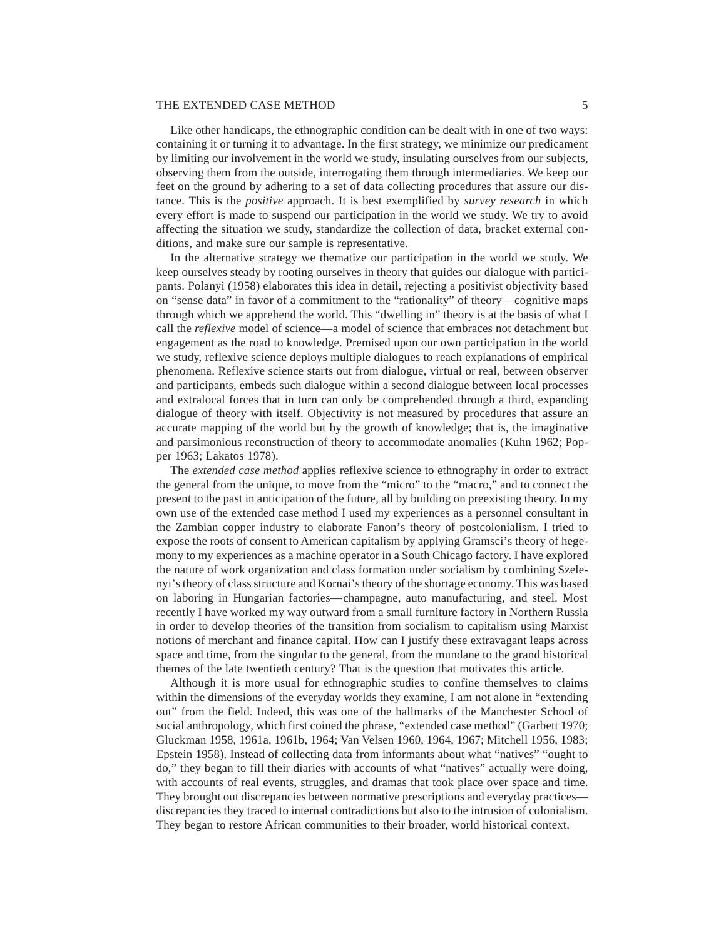Like other handicaps, the ethnographic condition can be dealt with in one of two ways: containing it or turning it to advantage. In the first strategy, we minimize our predicament by limiting our involvement in the world we study, insulating ourselves from our subjects, observing them from the outside, interrogating them through intermediaries. We keep our feet on the ground by adhering to a set of data collecting procedures that assure our distance. This is the *positive* approach. It is best exemplified by *survey research* in which every effort is made to suspend our participation in the world we study. We try to avoid affecting the situation we study, standardize the collection of data, bracket external conditions, and make sure our sample is representative.

In the alternative strategy we thematize our participation in the world we study. We keep ourselves steady by rooting ourselves in theory that guides our dialogue with participants. Polanyi (1958) elaborates this idea in detail, rejecting a positivist objectivity based on "sense data" in favor of a commitment to the "rationality" of theory—cognitive maps through which we apprehend the world. This "dwelling in" theory is at the basis of what I call the *reflexive* model of science—a model of science that embraces not detachment but engagement as the road to knowledge. Premised upon our own participation in the world we study, reflexive science deploys multiple dialogues to reach explanations of empirical phenomena. Reflexive science starts out from dialogue, virtual or real, between observer and participants, embeds such dialogue within a second dialogue between local processes and extralocal forces that in turn can only be comprehended through a third, expanding dialogue of theory with itself. Objectivity is not measured by procedures that assure an accurate mapping of the world but by the growth of knowledge; that is, the imaginative and parsimonious reconstruction of theory to accommodate anomalies (Kuhn 1962; Popper 1963; Lakatos 1978).

The *extended case method* applies reflexive science to ethnography in order to extract the general from the unique, to move from the "micro" to the "macro," and to connect the present to the past in anticipation of the future, all by building on preexisting theory. In my own use of the extended case method I used my experiences as a personnel consultant in the Zambian copper industry to elaborate Fanon's theory of postcolonialism. I tried to expose the roots of consent to American capitalism by applying Gramsci's theory of hegemony to my experiences as a machine operator in a South Chicago factory. I have explored the nature of work organization and class formation under socialism by combining Szelenyi's theory of class structure and Kornai's theory of the shortage economy. This was based on laboring in Hungarian factories—champagne, auto manufacturing, and steel. Most recently I have worked my way outward from a small furniture factory in Northern Russia in order to develop theories of the transition from socialism to capitalism using Marxist notions of merchant and finance capital. How can I justify these extravagant leaps across space and time, from the singular to the general, from the mundane to the grand historical themes of the late twentieth century? That is the question that motivates this article.

Although it is more usual for ethnographic studies to confine themselves to claims within the dimensions of the everyday worlds they examine, I am not alone in "extending out" from the field. Indeed, this was one of the hallmarks of the Manchester School of social anthropology, which first coined the phrase, "extended case method" (Garbett 1970; Gluckman 1958, 1961a, 1961b, 1964; Van Velsen 1960, 1964, 1967; Mitchell 1956, 1983; Epstein 1958). Instead of collecting data from informants about what "natives" "ought to do," they began to fill their diaries with accounts of what "natives" actually were doing, with accounts of real events, struggles, and dramas that took place over space and time. They brought out discrepancies between normative prescriptions and everyday practices discrepancies they traced to internal contradictions but also to the intrusion of colonialism. They began to restore African communities to their broader, world historical context.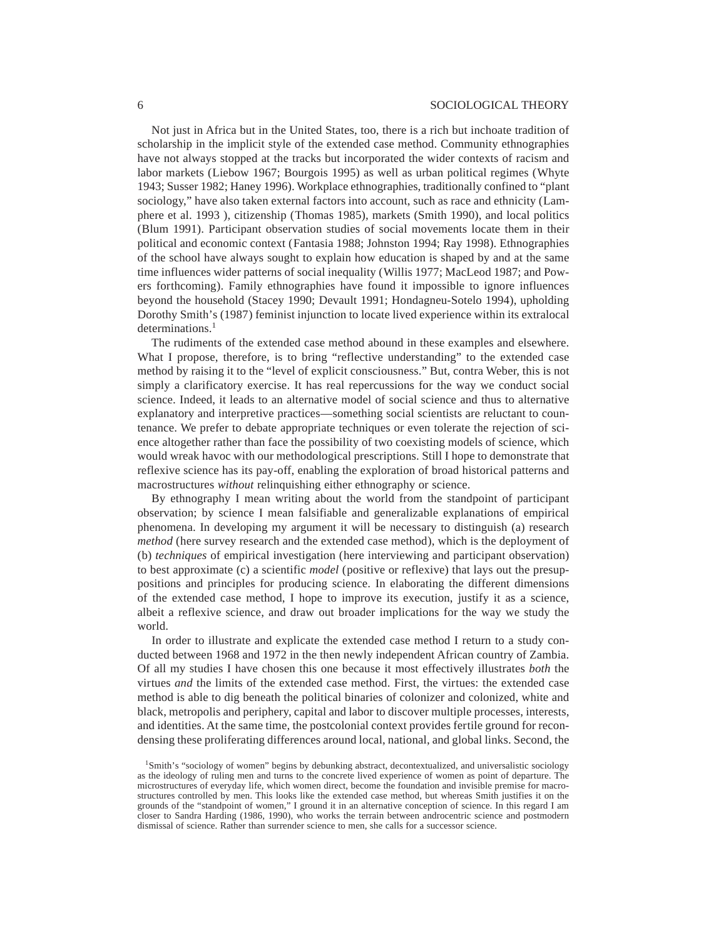Not just in Africa but in the United States, too, there is a rich but inchoate tradition of scholarship in the implicit style of the extended case method. Community ethnographies have not always stopped at the tracks but incorporated the wider contexts of racism and labor markets (Liebow 1967; Bourgois 1995) as well as urban political regimes (Whyte 1943; Susser 1982; Haney 1996). Workplace ethnographies, traditionally confined to "plant sociology," have also taken external factors into account, such as race and ethnicity (Lamphere et al. 1993 ), citizenship (Thomas 1985), markets (Smith 1990), and local politics (Blum 1991). Participant observation studies of social movements locate them in their political and economic context (Fantasia 1988; Johnston 1994; Ray 1998). Ethnographies of the school have always sought to explain how education is shaped by and at the same time influences wider patterns of social inequality (Willis 1977; MacLeod 1987; and Powers forthcoming). Family ethnographies have found it impossible to ignore influences beyond the household (Stacey 1990; Devault 1991; Hondagneu-Sotelo 1994), upholding Dorothy Smith's (1987) feminist injunction to locate lived experience within its extralocal determinations.<sup>1</sup>

The rudiments of the extended case method abound in these examples and elsewhere. What I propose, therefore, is to bring "reflective understanding" to the extended case method by raising it to the "level of explicit consciousness." But, contra Weber, this is not simply a clarificatory exercise. It has real repercussions for the way we conduct social science. Indeed, it leads to an alternative model of social science and thus to alternative explanatory and interpretive practices—something social scientists are reluctant to countenance. We prefer to debate appropriate techniques or even tolerate the rejection of science altogether rather than face the possibility of two coexisting models of science, which would wreak havoc with our methodological prescriptions. Still I hope to demonstrate that reflexive science has its pay-off, enabling the exploration of broad historical patterns and macrostructures *without* relinquishing either ethnography or science.

By ethnography I mean writing about the world from the standpoint of participant observation; by science I mean falsifiable and generalizable explanations of empirical phenomena. In developing my argument it will be necessary to distinguish (a) research *method* (here survey research and the extended case method), which is the deployment of (b) *techniques* of empirical investigation (here interviewing and participant observation) to best approximate (c) a scientific *model* (positive or reflexive) that lays out the presuppositions and principles for producing science. In elaborating the different dimensions of the extended case method, I hope to improve its execution, justify it as a science, albeit a reflexive science, and draw out broader implications for the way we study the world.

In order to illustrate and explicate the extended case method I return to a study conducted between 1968 and 1972 in the then newly independent African country of Zambia. Of all my studies I have chosen this one because it most effectively illustrates *both* the virtues *and* the limits of the extended case method. First, the virtues: the extended case method is able to dig beneath the political binaries of colonizer and colonized, white and black, metropolis and periphery, capital and labor to discover multiple processes, interests, and identities. At the same time, the postcolonial context provides fertile ground for recondensing these proliferating differences around local, national, and global links. Second, the

<sup>1</sup>Smith's "sociology of women" begins by debunking abstract, decontextualized, and universalistic sociology as the ideology of ruling men and turns to the concrete lived experience of women as point of departure. The microstructures of everyday life, which women direct, become the foundation and invisible premise for macrostructures controlled by men. This looks like the extended case method, but whereas Smith justifies it on the grounds of the "standpoint of women," I ground it in an alternative conception of science. In this regard I am closer to Sandra Harding (1986, 1990), who works the terrain between androcentric science and postmodern dismissal of science. Rather than surrender science to men, she calls for a successor science.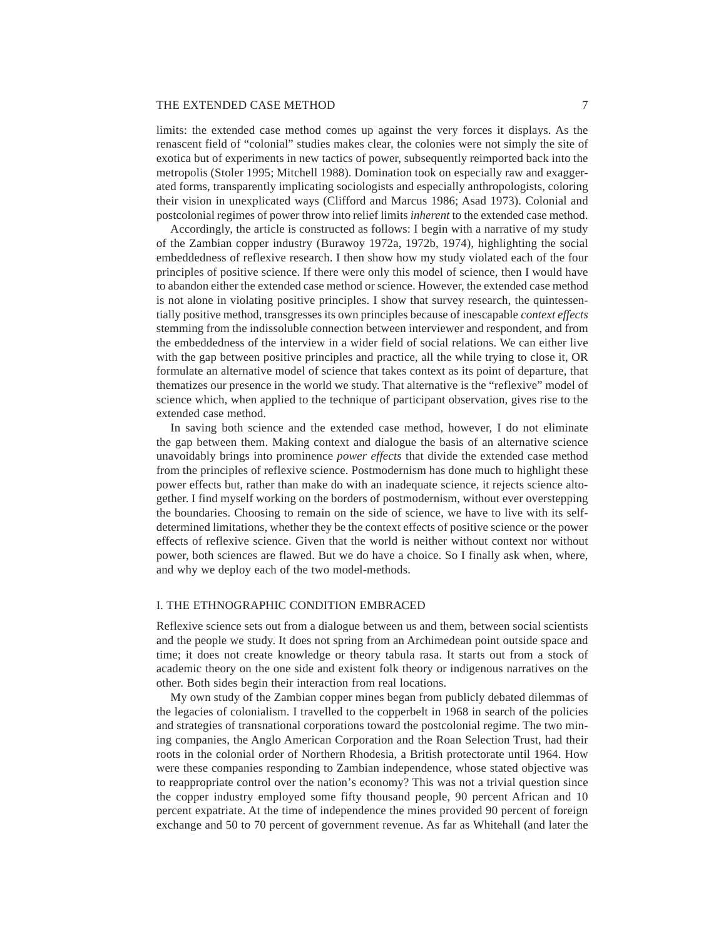limits: the extended case method comes up against the very forces it displays. As the renascent field of "colonial" studies makes clear, the colonies were not simply the site of exotica but of experiments in new tactics of power, subsequently reimported back into the metropolis (Stoler 1995; Mitchell 1988). Domination took on especially raw and exaggerated forms, transparently implicating sociologists and especially anthropologists, coloring their vision in unexplicated ways (Clifford and Marcus 1986; Asad 1973). Colonial and postcolonial regimes of power throw into relief limits *inherent* to the extended case method.

Accordingly, the article is constructed as follows: I begin with a narrative of my study of the Zambian copper industry (Burawoy 1972a, 1972b, 1974), highlighting the social embeddedness of reflexive research. I then show how my study violated each of the four principles of positive science. If there were only this model of science, then I would have to abandon either the extended case method or science. However, the extended case method is not alone in violating positive principles. I show that survey research, the quintessentially positive method, transgresses its own principles because of inescapable *context effects* stemming from the indissoluble connection between interviewer and respondent, and from the embeddedness of the interview in a wider field of social relations. We can either live with the gap between positive principles and practice, all the while trying to close it, OR formulate an alternative model of science that takes context as its point of departure, that thematizes our presence in the world we study. That alternative is the "reflexive" model of science which, when applied to the technique of participant observation, gives rise to the extended case method.

In saving both science and the extended case method, however, I do not eliminate the gap between them. Making context and dialogue the basis of an alternative science unavoidably brings into prominence *power effects* that divide the extended case method from the principles of reflexive science. Postmodernism has done much to highlight these power effects but, rather than make do with an inadequate science, it rejects science altogether. I find myself working on the borders of postmodernism, without ever overstepping the boundaries. Choosing to remain on the side of science, we have to live with its selfdetermined limitations, whether they be the context effects of positive science or the power effects of reflexive science. Given that the world is neither without context nor without power, both sciences are flawed. But we do have a choice. So I finally ask when, where, and why we deploy each of the two model-methods.

### I. THE ETHNOGRAPHIC CONDITION EMBRACED

Reflexive science sets out from a dialogue between us and them, between social scientists and the people we study. It does not spring from an Archimedean point outside space and time; it does not create knowledge or theory tabula rasa. It starts out from a stock of academic theory on the one side and existent folk theory or indigenous narratives on the other. Both sides begin their interaction from real locations.

My own study of the Zambian copper mines began from publicly debated dilemmas of the legacies of colonialism. I travelled to the copperbelt in 1968 in search of the policies and strategies of transnational corporations toward the postcolonial regime. The two mining companies, the Anglo American Corporation and the Roan Selection Trust, had their roots in the colonial order of Northern Rhodesia, a British protectorate until 1964. How were these companies responding to Zambian independence, whose stated objective was to reappropriate control over the nation's economy? This was not a trivial question since the copper industry employed some fifty thousand people, 90 percent African and 10 percent expatriate. At the time of independence the mines provided 90 percent of foreign exchange and 50 to 70 percent of government revenue. As far as Whitehall (and later the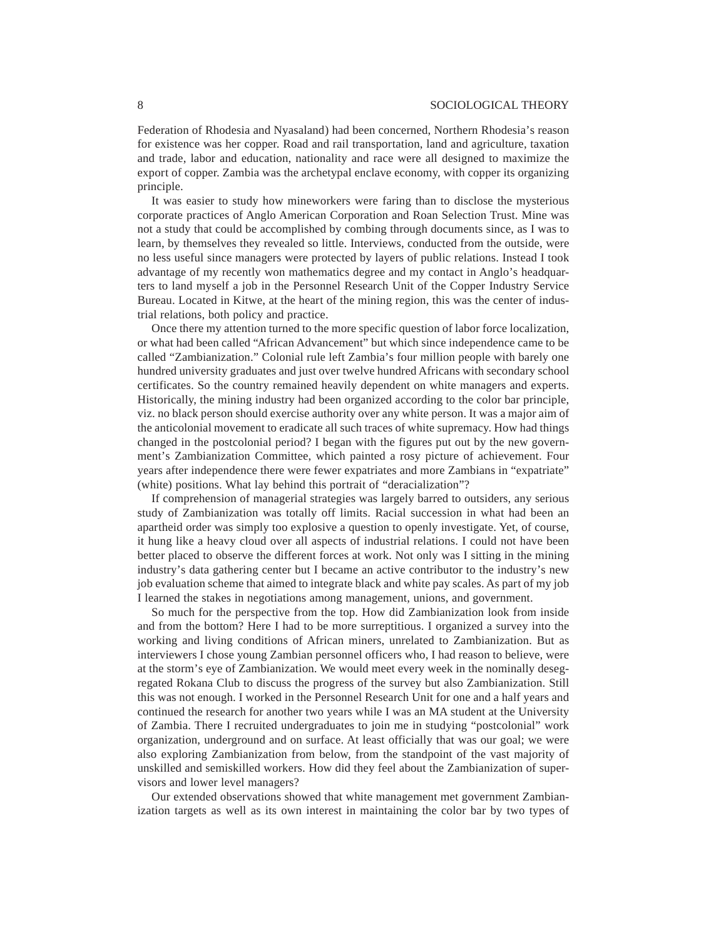Federation of Rhodesia and Nyasaland) had been concerned, Northern Rhodesia's reason for existence was her copper. Road and rail transportation, land and agriculture, taxation and trade, labor and education, nationality and race were all designed to maximize the export of copper. Zambia was the archetypal enclave economy, with copper its organizing principle.

It was easier to study how mineworkers were faring than to disclose the mysterious corporate practices of Anglo American Corporation and Roan Selection Trust. Mine was not a study that could be accomplished by combing through documents since, as I was to learn, by themselves they revealed so little. Interviews, conducted from the outside, were no less useful since managers were protected by layers of public relations. Instead I took advantage of my recently won mathematics degree and my contact in Anglo's headquarters to land myself a job in the Personnel Research Unit of the Copper Industry Service Bureau. Located in Kitwe, at the heart of the mining region, this was the center of industrial relations, both policy and practice.

Once there my attention turned to the more specific question of labor force localization, or what had been called "African Advancement" but which since independence came to be called "Zambianization." Colonial rule left Zambia's four million people with barely one hundred university graduates and just over twelve hundred Africans with secondary school certificates. So the country remained heavily dependent on white managers and experts. Historically, the mining industry had been organized according to the color bar principle, viz. no black person should exercise authority over any white person. It was a major aim of the anticolonial movement to eradicate all such traces of white supremacy. How had things changed in the postcolonial period? I began with the figures put out by the new government's Zambianization Committee, which painted a rosy picture of achievement. Four years after independence there were fewer expatriates and more Zambians in "expatriate" (white) positions. What lay behind this portrait of "deracialization"?

If comprehension of managerial strategies was largely barred to outsiders, any serious study of Zambianization was totally off limits. Racial succession in what had been an apartheid order was simply too explosive a question to openly investigate. Yet, of course, it hung like a heavy cloud over all aspects of industrial relations. I could not have been better placed to observe the different forces at work. Not only was I sitting in the mining industry's data gathering center but I became an active contributor to the industry's new job evaluation scheme that aimed to integrate black and white pay scales. As part of my job I learned the stakes in negotiations among management, unions, and government.

So much for the perspective from the top. How did Zambianization look from inside and from the bottom? Here I had to be more surreptitious. I organized a survey into the working and living conditions of African miners, unrelated to Zambianization. But as interviewers I chose young Zambian personnel officers who, I had reason to believe, were at the storm's eye of Zambianization. We would meet every week in the nominally desegregated Rokana Club to discuss the progress of the survey but also Zambianization. Still this was not enough. I worked in the Personnel Research Unit for one and a half years and continued the research for another two years while I was an MA student at the University of Zambia. There I recruited undergraduates to join me in studying "postcolonial" work organization, underground and on surface. At least officially that was our goal; we were also exploring Zambianization from below, from the standpoint of the vast majority of unskilled and semiskilled workers. How did they feel about the Zambianization of supervisors and lower level managers?

Our extended observations showed that white management met government Zambianization targets as well as its own interest in maintaining the color bar by two types of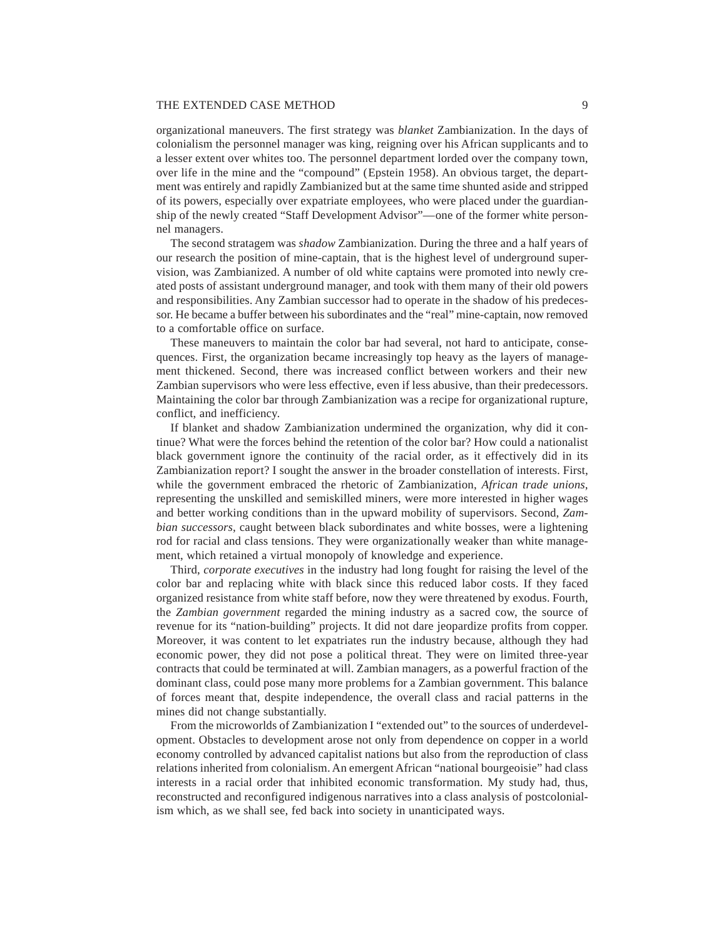organizational maneuvers. The first strategy was *blanket* Zambianization. In the days of colonialism the personnel manager was king, reigning over his African supplicants and to a lesser extent over whites too. The personnel department lorded over the company town, over life in the mine and the "compound" (Epstein 1958). An obvious target, the department was entirely and rapidly Zambianized but at the same time shunted aside and stripped of its powers, especially over expatriate employees, who were placed under the guardianship of the newly created "Staff Development Advisor"—one of the former white personnel managers.

The second stratagem was *shadow* Zambianization. During the three and a half years of our research the position of mine-captain, that is the highest level of underground supervision, was Zambianized. A number of old white captains were promoted into newly created posts of assistant underground manager, and took with them many of their old powers and responsibilities. Any Zambian successor had to operate in the shadow of his predecessor. He became a buffer between his subordinates and the "real" mine-captain, now removed to a comfortable office on surface.

These maneuvers to maintain the color bar had several, not hard to anticipate, consequences. First, the organization became increasingly top heavy as the layers of management thickened. Second, there was increased conflict between workers and their new Zambian supervisors who were less effective, even if less abusive, than their predecessors. Maintaining the color bar through Zambianization was a recipe for organizational rupture, conflict, and inefficiency.

If blanket and shadow Zambianization undermined the organization, why did it continue? What were the forces behind the retention of the color bar? How could a nationalist black government ignore the continuity of the racial order, as it effectively did in its Zambianization report? I sought the answer in the broader constellation of interests. First, while the government embraced the rhetoric of Zambianization, *African trade unions*, representing the unskilled and semiskilled miners, were more interested in higher wages and better working conditions than in the upward mobility of supervisors. Second, *Zambian successors*, caught between black subordinates and white bosses, were a lightening rod for racial and class tensions. They were organizationally weaker than white management, which retained a virtual monopoly of knowledge and experience.

Third, *corporate executives* in the industry had long fought for raising the level of the color bar and replacing white with black since this reduced labor costs. If they faced organized resistance from white staff before, now they were threatened by exodus. Fourth, the *Zambian government* regarded the mining industry as a sacred cow, the source of revenue for its "nation-building" projects. It did not dare jeopardize profits from copper. Moreover, it was content to let expatriates run the industry because, although they had economic power, they did not pose a political threat. They were on limited three-year contracts that could be terminated at will. Zambian managers, as a powerful fraction of the dominant class, could pose many more problems for a Zambian government. This balance of forces meant that, despite independence, the overall class and racial patterns in the mines did not change substantially.

From the microworlds of Zambianization I "extended out" to the sources of underdevelopment. Obstacles to development arose not only from dependence on copper in a world economy controlled by advanced capitalist nations but also from the reproduction of class relations inherited from colonialism. An emergent African "national bourgeoisie" had class interests in a racial order that inhibited economic transformation. My study had, thus, reconstructed and reconfigured indigenous narratives into a class analysis of postcolonialism which, as we shall see, fed back into society in unanticipated ways.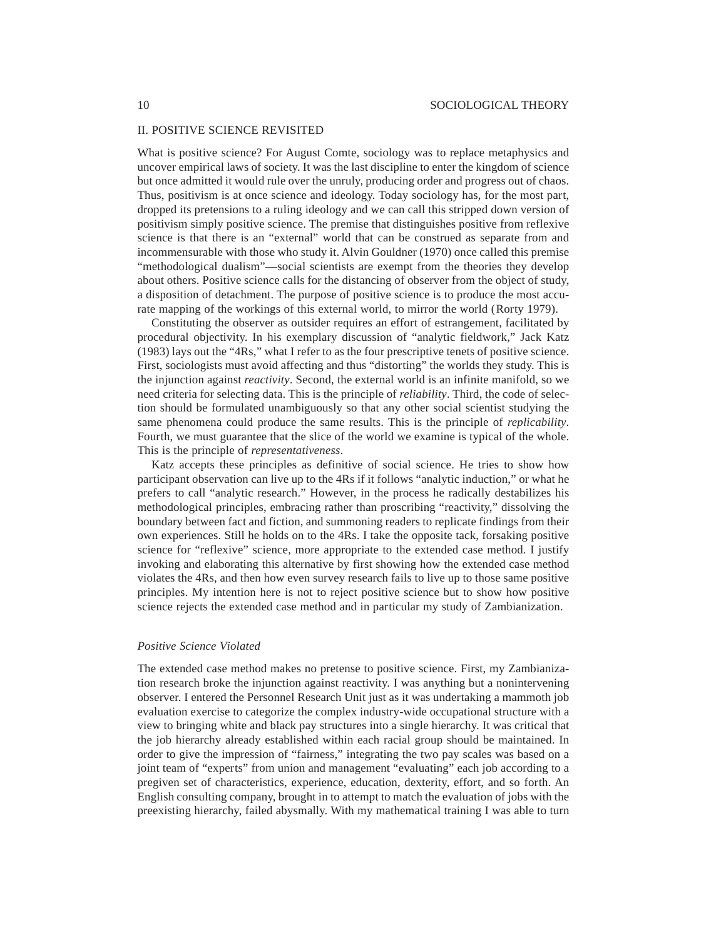## II. POSITIVE SCIENCE REVISITED

What is positive science? For August Comte, sociology was to replace metaphysics and uncover empirical laws of society. It was the last discipline to enter the kingdom of science but once admitted it would rule over the unruly, producing order and progress out of chaos. Thus, positivism is at once science and ideology. Today sociology has, for the most part, dropped its pretensions to a ruling ideology and we can call this stripped down version of positivism simply positive science. The premise that distinguishes positive from reflexive science is that there is an "external" world that can be construed as separate from and incommensurable with those who study it. Alvin Gouldner (1970) once called this premise "methodological dualism"—social scientists are exempt from the theories they develop about others. Positive science calls for the distancing of observer from the object of study, a disposition of detachment. The purpose of positive science is to produce the most accurate mapping of the workings of this external world, to mirror the world (Rorty 1979).

Constituting the observer as outsider requires an effort of estrangement, facilitated by procedural objectivity. In his exemplary discussion of "analytic fieldwork," Jack Katz (1983) lays out the "4Rs," what I refer to as the four prescriptive tenets of positive science. First, sociologists must avoid affecting and thus "distorting" the worlds they study. This is the injunction against *reactivity*. Second, the external world is an infinite manifold, so we need criteria for selecting data. This is the principle of *reliability*. Third, the code of selection should be formulated unambiguously so that any other social scientist studying the same phenomena could produce the same results. This is the principle of *replicability*. Fourth, we must guarantee that the slice of the world we examine is typical of the whole. This is the principle of *representativeness*.

Katz accepts these principles as definitive of social science. He tries to show how participant observation can live up to the 4Rs if it follows "analytic induction," or what he prefers to call "analytic research." However, in the process he radically destabilizes his methodological principles, embracing rather than proscribing "reactivity," dissolving the boundary between fact and fiction, and summoning readers to replicate findings from their own experiences. Still he holds on to the 4Rs. I take the opposite tack, forsaking positive science for "reflexive" science, more appropriate to the extended case method. I justify invoking and elaborating this alternative by first showing how the extended case method violates the 4Rs, and then how even survey research fails to live up to those same positive principles. My intention here is not to reject positive science but to show how positive science rejects the extended case method and in particular my study of Zambianization.

#### *Positive Science Violated*

The extended case method makes no pretense to positive science. First, my Zambianization research broke the injunction against reactivity. I was anything but a nonintervening observer. I entered the Personnel Research Unit just as it was undertaking a mammoth job evaluation exercise to categorize the complex industry-wide occupational structure with a view to bringing white and black pay structures into a single hierarchy. It was critical that the job hierarchy already established within each racial group should be maintained. In order to give the impression of "fairness," integrating the two pay scales was based on a joint team of "experts" from union and management "evaluating" each job according to a pregiven set of characteristics, experience, education, dexterity, effort, and so forth. An English consulting company, brought in to attempt to match the evaluation of jobs with the preexisting hierarchy, failed abysmally. With my mathematical training I was able to turn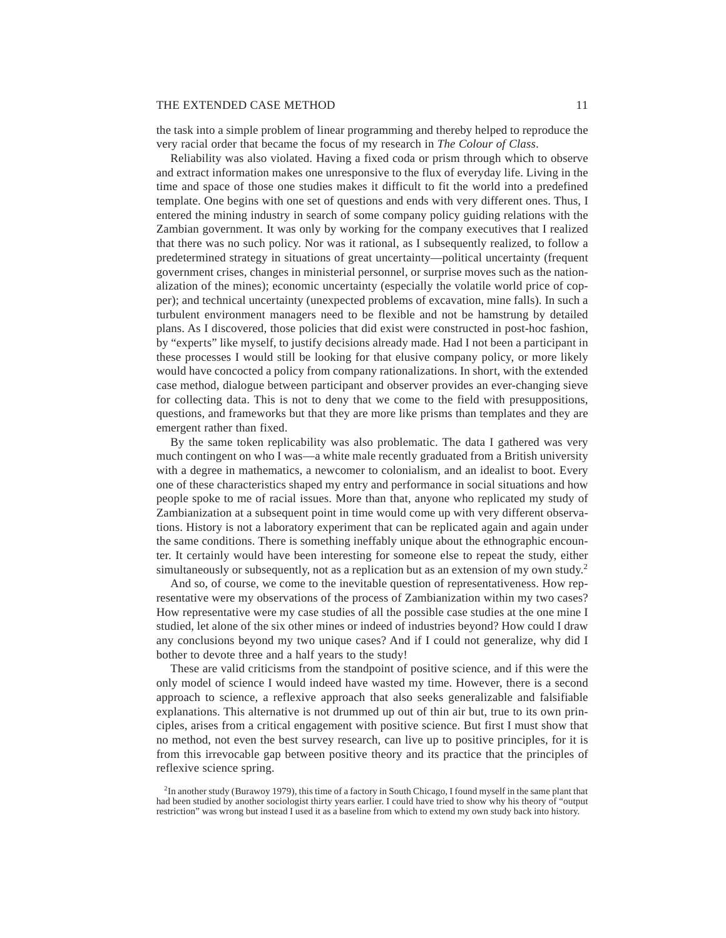the task into a simple problem of linear programming and thereby helped to reproduce the very racial order that became the focus of my research in *The Colour of Class*.

Reliability was also violated. Having a fixed coda or prism through which to observe and extract information makes one unresponsive to the flux of everyday life. Living in the time and space of those one studies makes it difficult to fit the world into a predefined template. One begins with one set of questions and ends with very different ones. Thus, I entered the mining industry in search of some company policy guiding relations with the Zambian government. It was only by working for the company executives that I realized that there was no such policy. Nor was it rational, as I subsequently realized, to follow a predetermined strategy in situations of great uncertainty—political uncertainty (frequent government crises, changes in ministerial personnel, or surprise moves such as the nationalization of the mines); economic uncertainty (especially the volatile world price of copper); and technical uncertainty (unexpected problems of excavation, mine falls). In such a turbulent environment managers need to be flexible and not be hamstrung by detailed plans. As I discovered, those policies that did exist were constructed in post-hoc fashion, by "experts" like myself, to justify decisions already made. Had I not been a participant in these processes I would still be looking for that elusive company policy, or more likely would have concocted a policy from company rationalizations. In short, with the extended case method, dialogue between participant and observer provides an ever-changing sieve for collecting data. This is not to deny that we come to the field with presuppositions, questions, and frameworks but that they are more like prisms than templates and they are emergent rather than fixed.

By the same token replicability was also problematic. The data I gathered was very much contingent on who I was—a white male recently graduated from a British university with a degree in mathematics, a newcomer to colonialism, and an idealist to boot. Every one of these characteristics shaped my entry and performance in social situations and how people spoke to me of racial issues. More than that, anyone who replicated my study of Zambianization at a subsequent point in time would come up with very different observations. History is not a laboratory experiment that can be replicated again and again under the same conditions. There is something ineffably unique about the ethnographic encounter. It certainly would have been interesting for someone else to repeat the study, either simultaneously or subsequently, not as a replication but as an extension of my own study.<sup>2</sup>

And so, of course, we come to the inevitable question of representativeness. How representative were my observations of the process of Zambianization within my two cases? How representative were my case studies of all the possible case studies at the one mine I studied, let alone of the six other mines or indeed of industries beyond? How could I draw any conclusions beyond my two unique cases? And if I could not generalize, why did I bother to devote three and a half years to the study!

These are valid criticisms from the standpoint of positive science, and if this were the only model of science I would indeed have wasted my time. However, there is a second approach to science, a reflexive approach that also seeks generalizable and falsifiable explanations. This alternative is not drummed up out of thin air but, true to its own principles, arises from a critical engagement with positive science. But first I must show that no method, not even the best survey research, can live up to positive principles, for it is from this irrevocable gap between positive theory and its practice that the principles of reflexive science spring.

 ${}^{2}$ In another study (Burawoy 1979), this time of a factory in South Chicago, I found myself in the same plant that had been studied by another sociologist thirty years earlier. I could have tried to show why his theory of "output restriction" was wrong but instead I used it as a baseline from which to extend my own study back into history.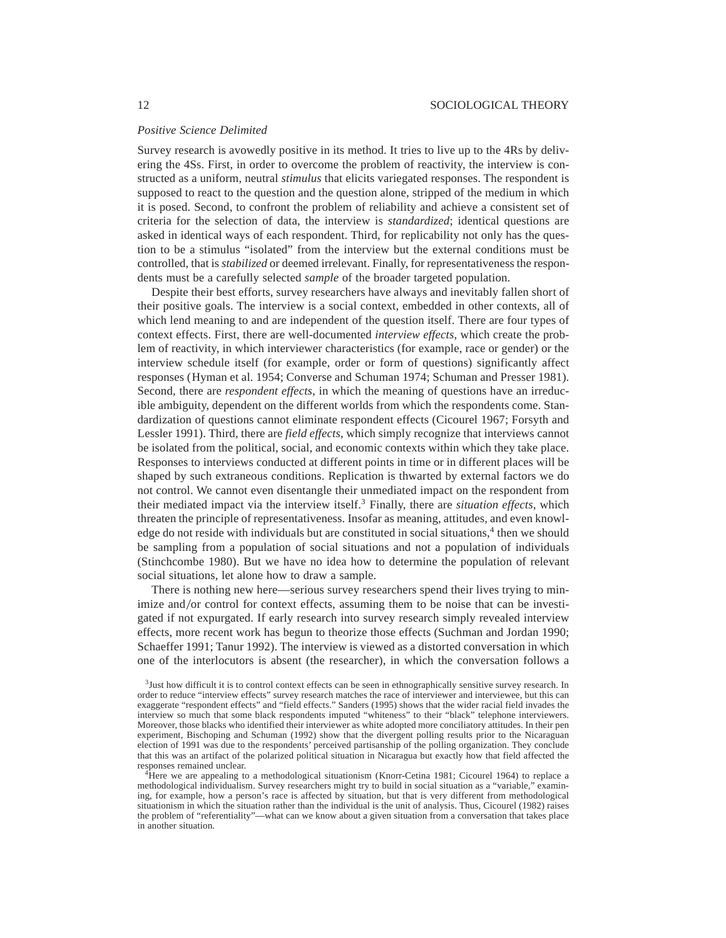# *Positive Science Delimited*

Survey research is avowedly positive in its method. It tries to live up to the 4Rs by delivering the 4Ss. First, in order to overcome the problem of reactivity, the interview is constructed as a uniform, neutral *stimulus* that elicits variegated responses. The respondent is supposed to react to the question and the question alone, stripped of the medium in which it is posed. Second, to confront the problem of reliability and achieve a consistent set of criteria for the selection of data, the interview is *standardized*; identical questions are asked in identical ways of each respondent. Third, for replicability not only has the question to be a stimulus "isolated" from the interview but the external conditions must be controlled, that is *stabilized* or deemed irrelevant. Finally, for representativeness the respondents must be a carefully selected *sample* of the broader targeted population.

Despite their best efforts, survey researchers have always and inevitably fallen short of their positive goals. The interview is a social context, embedded in other contexts, all of which lend meaning to and are independent of the question itself. There are four types of context effects. First, there are well-documented *interview effects*, which create the problem of reactivity, in which interviewer characteristics (for example, race or gender) or the interview schedule itself (for example, order or form of questions) significantly affect responses (Hyman et al. 1954; Converse and Schuman 1974; Schuman and Presser 1981). Second, there are *respondent effects*, in which the meaning of questions have an irreducible ambiguity, dependent on the different worlds from which the respondents come. Standardization of questions cannot eliminate respondent effects (Cicourel 1967; Forsyth and Lessler 1991). Third, there are *field effects*, which simply recognize that interviews cannot be isolated from the political, social, and economic contexts within which they take place. Responses to interviews conducted at different points in time or in different places will be shaped by such extraneous conditions. Replication is thwarted by external factors we do not control. We cannot even disentangle their unmediated impact on the respondent from their mediated impact via the interview itself.3 Finally, there are *situation effects*, which threaten the principle of representativeness. Insofar as meaning, attitudes, and even knowledge do not reside with individuals but are constituted in social situations,<sup>4</sup> then we should be sampling from a population of social situations and not a population of individuals (Stinchcombe 1980). But we have no idea how to determine the population of relevant social situations, let alone how to draw a sample.

There is nothing new here—serious survey researchers spend their lives trying to minimize and/or control for context effects, assuming them to be noise that can be investigated if not expurgated. If early research into survey research simply revealed interview effects, more recent work has begun to theorize those effects (Suchman and Jordan 1990; Schaeffer 1991; Tanur 1992). The interview is viewed as a distorted conversation in which one of the interlocutors is absent (the researcher), in which the conversation follows a

 $3$ Just how difficult it is to control context effects can be seen in ethnographically sensitive survey research. In order to reduce "interview effects" survey research matches the race of interviewer and interviewee, but this can exaggerate "respondent effects" and "field effects." Sanders (1995) shows that the wider racial field invades the interview so much that some black respondents imputed "whiteness" to their "black" telephone interviewers. Moreover, those blacks who identified their interviewer as white adopted more conciliatory attitudes. In their pen experiment, Bischoping and Schuman (1992) show that the divergent polling results prior to the Nicaraguan election of 1991 was due to the respondents' perceived partisanship of the polling organization. They conclude that this was an artifact of the polarized political situation in Nicaragua but exactly how that field affected the

responses remained unclear. 4Here we are appealing to a methodological situationism (Knorr-Cetina 1981; Cicourel 1964) to replace a methodological individualism. Survey researchers might try to build in social situation as a "variable," examining, for example, how a person's race is affected by situation, but that is very different from methodological situationism in which the situation rather than the individual is the unit of analysis. Thus, Cicourel (1982) raises the problem of "referentiality"—what can we know about a given situation from a conversation that takes place in another situation.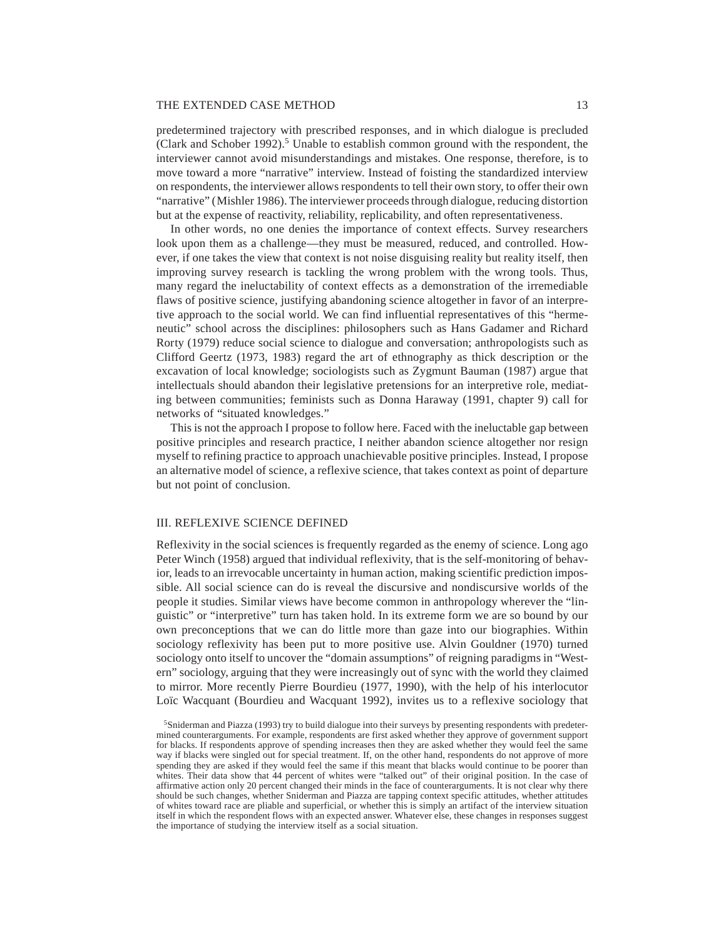predetermined trajectory with prescribed responses, and in which dialogue is precluded (Clark and Schober 1992).<sup>5</sup> Unable to establish common ground with the respondent, the interviewer cannot avoid misunderstandings and mistakes. One response, therefore, is to move toward a more "narrative" interview. Instead of foisting the standardized interview on respondents, the interviewer allows respondents to tell their own story, to offer their own "narrative" (Mishler 1986). The interviewer proceeds through dialogue, reducing distortion but at the expense of reactivity, reliability, replicability, and often representativeness.

In other words, no one denies the importance of context effects. Survey researchers look upon them as a challenge—they must be measured, reduced, and controlled. However, if one takes the view that context is not noise disguising reality but reality itself, then improving survey research is tackling the wrong problem with the wrong tools. Thus, many regard the ineluctability of context effects as a demonstration of the irremediable flaws of positive science, justifying abandoning science altogether in favor of an interpretive approach to the social world. We can find influential representatives of this "hermeneutic" school across the disciplines: philosophers such as Hans Gadamer and Richard Rorty (1979) reduce social science to dialogue and conversation; anthropologists such as Clifford Geertz (1973, 1983) regard the art of ethnography as thick description or the excavation of local knowledge; sociologists such as Zygmunt Bauman (1987) argue that intellectuals should abandon their legislative pretensions for an interpretive role, mediating between communities; feminists such as Donna Haraway (1991, chapter 9) call for networks of "situated knowledges."

This is not the approach I propose to follow here. Faced with the ineluctable gap between positive principles and research practice, I neither abandon science altogether nor resign myself to refining practice to approach unachievable positive principles. Instead, I propose an alternative model of science, a reflexive science, that takes context as point of departure but not point of conclusion.

# III. REFLEXIVE SCIENCE DEFINED

Reflexivity in the social sciences is frequently regarded as the enemy of science. Long ago Peter Winch (1958) argued that individual reflexivity, that is the self-monitoring of behavior, leads to an irrevocable uncertainty in human action, making scientific prediction impossible. All social science can do is reveal the discursive and nondiscursive worlds of the people it studies. Similar views have become common in anthropology wherever the "linguistic" or "interpretive" turn has taken hold. In its extreme form we are so bound by our own preconceptions that we can do little more than gaze into our biographies. Within sociology reflexivity has been put to more positive use. Alvin Gouldner (1970) turned sociology onto itself to uncover the "domain assumptions" of reigning paradigms in "Western" sociology, arguing that they were increasingly out of sync with the world they claimed to mirror. More recently Pierre Bourdieu (1977, 1990), with the help of his interlocutor Loïc Wacquant (Bourdieu and Wacquant 1992), invites us to a reflexive sociology that

<sup>5</sup>Sniderman and Piazza (1993) try to build dialogue into their surveys by presenting respondents with predetermined counterarguments. For example, respondents are first asked whether they approve of government support for blacks. If respondents approve of spending increases then they are asked whether they would feel the same way if blacks were singled out for special treatment. If, on the other hand, respondents do not approve of more spending they are asked if they would feel the same if this meant that blacks would continue to be poorer than whites. Their data show that 44 percent of whites were "talked out" of their original position. In the case of affirmative action only 20 percent changed their minds in the face of counterarguments. It is not clear why there should be such changes, whether Sniderman and Piazza are tapping context specific attitudes, whether attitudes of whites toward race are pliable and superficial, or whether this is simply an artifact of the interview situation itself in which the respondent flows with an expected answer. Whatever else, these changes in responses suggest the importance of studying the interview itself as a social situation.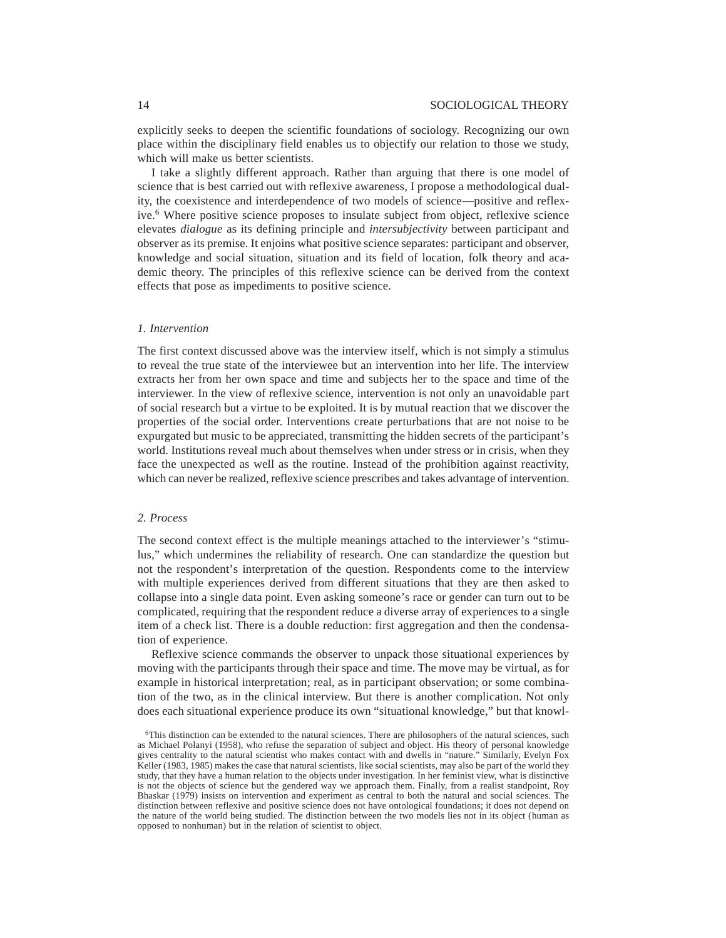explicitly seeks to deepen the scientific foundations of sociology. Recognizing our own place within the disciplinary field enables us to objectify our relation to those we study, which will make us better scientists.

I take a slightly different approach. Rather than arguing that there is one model of science that is best carried out with reflexive awareness, I propose a methodological duality, the coexistence and interdependence of two models of science—positive and reflexive.6 Where positive science proposes to insulate subject from object, reflexive science elevates *dialogue* as its defining principle and *intersubjectivity* between participant and observer as its premise. It enjoins what positive science separates: participant and observer, knowledge and social situation, situation and its field of location, folk theory and academic theory. The principles of this reflexive science can be derived from the context effects that pose as impediments to positive science.

#### *1. Intervention*

The first context discussed above was the interview itself, which is not simply a stimulus to reveal the true state of the interviewee but an intervention into her life. The interview extracts her from her own space and time and subjects her to the space and time of the interviewer. In the view of reflexive science, intervention is not only an unavoidable part of social research but a virtue to be exploited. It is by mutual reaction that we discover the properties of the social order. Interventions create perturbations that are not noise to be expurgated but music to be appreciated, transmitting the hidden secrets of the participant's world. Institutions reveal much about themselves when under stress or in crisis, when they face the unexpected as well as the routine. Instead of the prohibition against reactivity, which can never be realized, reflexive science prescribes and takes advantage of intervention.

# *2. Process*

The second context effect is the multiple meanings attached to the interviewer's "stimulus," which undermines the reliability of research. One can standardize the question but not the respondent's interpretation of the question. Respondents come to the interview with multiple experiences derived from different situations that they are then asked to collapse into a single data point. Even asking someone's race or gender can turn out to be complicated, requiring that the respondent reduce a diverse array of experiences to a single item of a check list. There is a double reduction: first aggregation and then the condensation of experience.

Reflexive science commands the observer to unpack those situational experiences by moving with the participants through their space and time. The move may be virtual, as for example in historical interpretation; real, as in participant observation; or some combination of the two, as in the clinical interview. But there is another complication. Not only does each situational experience produce its own "situational knowledge," but that knowl-

<sup>6</sup>This distinction can be extended to the natural sciences. There are philosophers of the natural sciences, such as Michael Polanyi (1958), who refuse the separation of subject and object. His theory of personal knowledge gives centrality to the natural scientist who makes contact with and dwells in "nature." Similarly, Evelyn Fox Keller (1983, 1985) makes the case that natural scientists, like social scientists, may also be part of the world they study, that they have a human relation to the objects under investigation. In her feminist view, what is distinctive is not the objects of science but the gendered way we approach them. Finally, from a realist standpoint, Roy Bhaskar (1979) insists on intervention and experiment as central to both the natural and social sciences. The distinction between reflexive and positive science does not have ontological foundations; it does not depend on the nature of the world being studied. The distinction between the two models lies not in its object (human as opposed to nonhuman) but in the relation of scientist to object.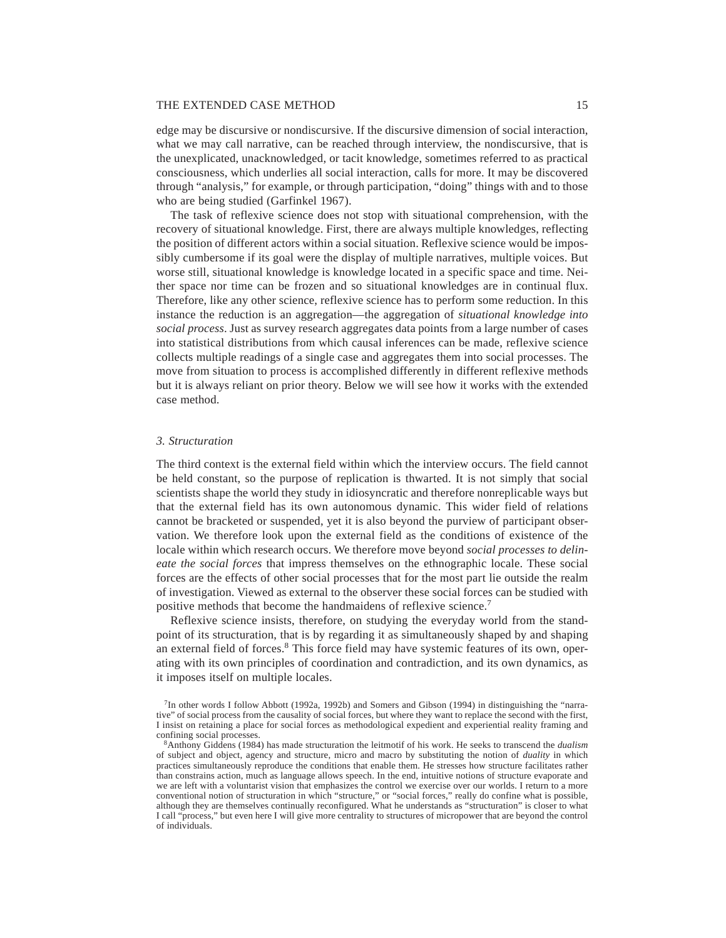edge may be discursive or nondiscursive. If the discursive dimension of social interaction, what we may call narrative, can be reached through interview, the nondiscursive, that is the unexplicated, unacknowledged, or tacit knowledge, sometimes referred to as practical consciousness, which underlies all social interaction, calls for more. It may be discovered through "analysis," for example, or through participation, "doing" things with and to those who are being studied (Garfinkel 1967).

The task of reflexive science does not stop with situational comprehension, with the recovery of situational knowledge. First, there are always multiple knowledges, reflecting the position of different actors within a social situation. Reflexive science would be impossibly cumbersome if its goal were the display of multiple narratives, multiple voices. But worse still, situational knowledge is knowledge located in a specific space and time. Neither space nor time can be frozen and so situational knowledges are in continual flux. Therefore, like any other science, reflexive science has to perform some reduction. In this instance the reduction is an aggregation—the aggregation of *situational knowledge into social process*. Just as survey research aggregates data points from a large number of cases into statistical distributions from which causal inferences can be made, reflexive science collects multiple readings of a single case and aggregates them into social processes. The move from situation to process is accomplished differently in different reflexive methods but it is always reliant on prior theory. Below we will see how it works with the extended case method.

# *3. Structuration*

The third context is the external field within which the interview occurs. The field cannot be held constant, so the purpose of replication is thwarted. It is not simply that social scientists shape the world they study in idiosyncratic and therefore nonreplicable ways but that the external field has its own autonomous dynamic. This wider field of relations cannot be bracketed or suspended, yet it is also beyond the purview of participant observation. We therefore look upon the external field as the conditions of existence of the locale within which research occurs. We therefore move beyond *social processes to delineate the social forces* that impress themselves on the ethnographic locale. These social forces are the effects of other social processes that for the most part lie outside the realm of investigation. Viewed as external to the observer these social forces can be studied with positive methods that become the handmaidens of reflexive science.<sup>7</sup>

Reflexive science insists, therefore, on studying the everyday world from the standpoint of its structuration, that is by regarding it as simultaneously shaped by and shaping an external field of forces.<sup>8</sup> This force field may have systemic features of its own, operating with its own principles of coordination and contradiction, and its own dynamics, as it imposes itself on multiple locales.

<sup>7</sup>In other words I follow Abbott (1992a, 1992b) and Somers and Gibson (1994) in distinguishing the "narrative" of social process from the causality of social forces, but where they want to replace the second with the first, I insist on retaining a place for social forces as methodological expedient and experiential reality framing and confining social processes.<br><sup>8</sup>Anthony Giddens (1984) has made structuration the leitmotif of his work. He seeks to transcend the *dualism* 

of subject and object, agency and structure, micro and macro by substituting the notion of *duality* in which practices simultaneously reproduce the conditions that enable them. He stresses how structure facilitates rather than constrains action, much as language allows speech. In the end, intuitive notions of structure evaporate and we are left with a voluntarist vision that emphasizes the control we exercise over our worlds. I return to a more conventional notion of structuration in which "structure," or "social forces," really do confine what is possible, although they are themselves continually reconfigured. What he understands as "structuration" is closer to what I call "process," but even here I will give more centrality to structures of micropower that are beyond the control of individuals.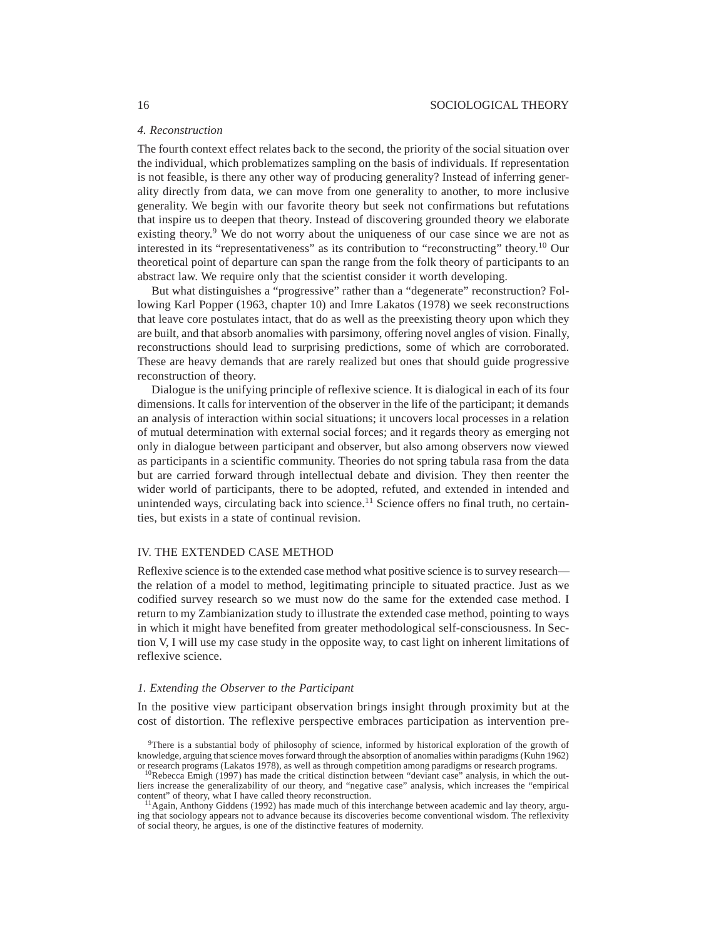#### *4. Reconstruction*

The fourth context effect relates back to the second, the priority of the social situation over the individual, which problematizes sampling on the basis of individuals. If representation is not feasible, is there any other way of producing generality? Instead of inferring generality directly from data, we can move from one generality to another, to more inclusive generality. We begin with our favorite theory but seek not confirmations but refutations that inspire us to deepen that theory. Instead of discovering grounded theory we elaborate existing theory.<sup>9</sup> We do not worry about the uniqueness of our case since we are not as interested in its "representativeness" as its contribution to "reconstructing" theory.10 Our theoretical point of departure can span the range from the folk theory of participants to an abstract law. We require only that the scientist consider it worth developing.

But what distinguishes a "progressive" rather than a "degenerate" reconstruction? Following Karl Popper (1963, chapter 10) and Imre Lakatos (1978) we seek reconstructions that leave core postulates intact, that do as well as the preexisting theory upon which they are built, and that absorb anomalies with parsimony, offering novel angles of vision. Finally, reconstructions should lead to surprising predictions, some of which are corroborated. These are heavy demands that are rarely realized but ones that should guide progressive reconstruction of theory.

Dialogue is the unifying principle of reflexive science. It is dialogical in each of its four dimensions. It calls for intervention of the observer in the life of the participant; it demands an analysis of interaction within social situations; it uncovers local processes in a relation of mutual determination with external social forces; and it regards theory as emerging not only in dialogue between participant and observer, but also among observers now viewed as participants in a scientific community. Theories do not spring tabula rasa from the data but are carried forward through intellectual debate and division. They then reenter the wider world of participants, there to be adopted, refuted, and extended in intended and unintended ways, circulating back into science.<sup>11</sup> Science offers no final truth, no certainties, but exists in a state of continual revision.

### IV. THE EXTENDED CASE METHOD

Reflexive science is to the extended case method what positive science is to survey research the relation of a model to method, legitimating principle to situated practice. Just as we codified survey research so we must now do the same for the extended case method. I return to my Zambianization study to illustrate the extended case method, pointing to ways in which it might have benefited from greater methodological self-consciousness. In Section V, I will use my case study in the opposite way, to cast light on inherent limitations of reflexive science.

#### *1. Extending the Observer to the Participant*

In the positive view participant observation brings insight through proximity but at the cost of distortion. The reflexive perspective embraces participation as intervention pre-

<sup>9</sup>There is a substantial body of philosophy of science, informed by historical exploration of the growth of knowledge, arguing that science moves forward through the absorption of anomalies within paradigms (Kuhn 1962) or research programs.

 $^{10}$ Rebecca Emigh (1997) has made the critical distinction between "deviant case" analysis, in which the outliers increase the generalizability of our theory, and "negative case" analysis, which increases the "empirical content" of theory, what I have called theory reconstruction.<br><sup>11</sup>Again, Anthony Giddens (1992) has made much of this interchange between academic and lay theory, argu-

ing that sociology appears not to advance because its discoveries become conventional wisdom. The reflexivity of social theory, he argues, is one of the distinctive features of modernity.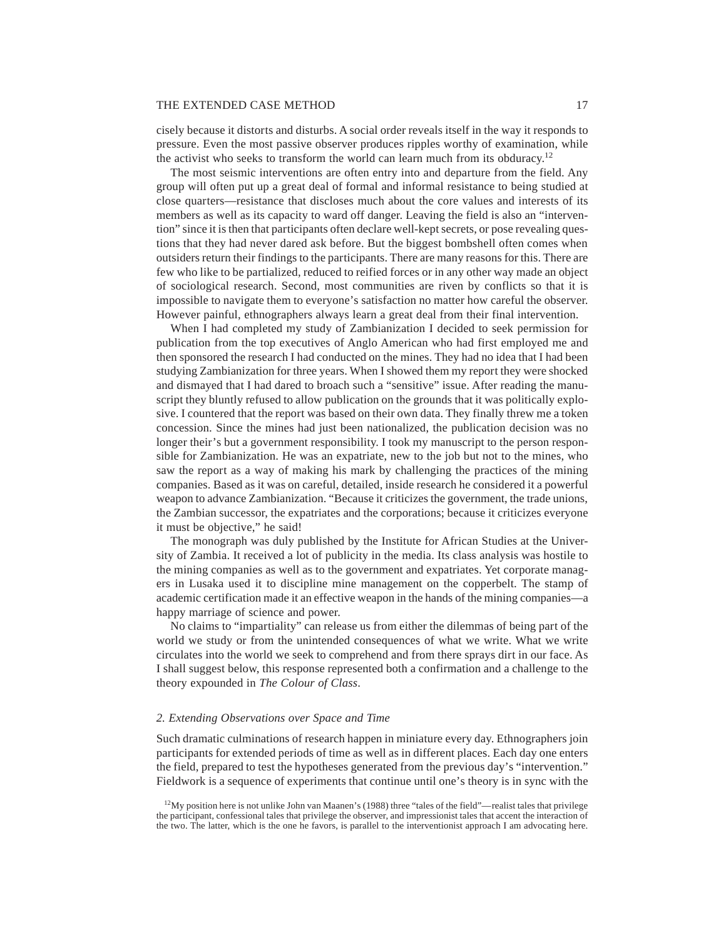cisely because it distorts and disturbs. A social order reveals itself in the way it responds to pressure. Even the most passive observer produces ripples worthy of examination, while the activist who seeks to transform the world can learn much from its obduracy.<sup>12</sup>

The most seismic interventions are often entry into and departure from the field. Any group will often put up a great deal of formal and informal resistance to being studied at close quarters—resistance that discloses much about the core values and interests of its members as well as its capacity to ward off danger. Leaving the field is also an "intervention" since it is then that participants often declare well-kept secrets, or pose revealing questions that they had never dared ask before. But the biggest bombshell often comes when outsiders return their findings to the participants. There are many reasons for this. There are few who like to be partialized, reduced to reified forces or in any other way made an object of sociological research. Second, most communities are riven by conflicts so that it is impossible to navigate them to everyone's satisfaction no matter how careful the observer. However painful, ethnographers always learn a great deal from their final intervention.

When I had completed my study of Zambianization I decided to seek permission for publication from the top executives of Anglo American who had first employed me and then sponsored the research I had conducted on the mines. They had no idea that I had been studying Zambianization for three years. When I showed them my report they were shocked and dismayed that I had dared to broach such a "sensitive" issue. After reading the manuscript they bluntly refused to allow publication on the grounds that it was politically explosive. I countered that the report was based on their own data. They finally threw me a token concession. Since the mines had just been nationalized, the publication decision was no longer their's but a government responsibility. I took my manuscript to the person responsible for Zambianization. He was an expatriate, new to the job but not to the mines, who saw the report as a way of making his mark by challenging the practices of the mining companies. Based as it was on careful, detailed, inside research he considered it a powerful weapon to advance Zambianization. "Because it criticizes the government, the trade unions, the Zambian successor, the expatriates and the corporations; because it criticizes everyone it must be objective," he said!

The monograph was duly published by the Institute for African Studies at the University of Zambia. It received a lot of publicity in the media. Its class analysis was hostile to the mining companies as well as to the government and expatriates. Yet corporate managers in Lusaka used it to discipline mine management on the copperbelt. The stamp of academic certification made it an effective weapon in the hands of the mining companies—a happy marriage of science and power.

No claims to "impartiality" can release us from either the dilemmas of being part of the world we study or from the unintended consequences of what we write. What we write circulates into the world we seek to comprehend and from there sprays dirt in our face. As I shall suggest below, this response represented both a confirmation and a challenge to the theory expounded in *The Colour of Class*.

### *2. Extending Observations over Space and Time*

Such dramatic culminations of research happen in miniature every day. Ethnographers join participants for extended periods of time as well as in different places. Each day one enters the field, prepared to test the hypotheses generated from the previous day's "intervention." Fieldwork is a sequence of experiments that continue until one's theory is in sync with the

 $12$ My position here is not unlike John van Maanen's (1988) three "tales of the field"—realist tales that privilege the participant, confessional tales that privilege the observer, and impressionist tales that accent the interaction of the two. The latter, which is the one he favors, is parallel to the interventionist approach I am advocating here.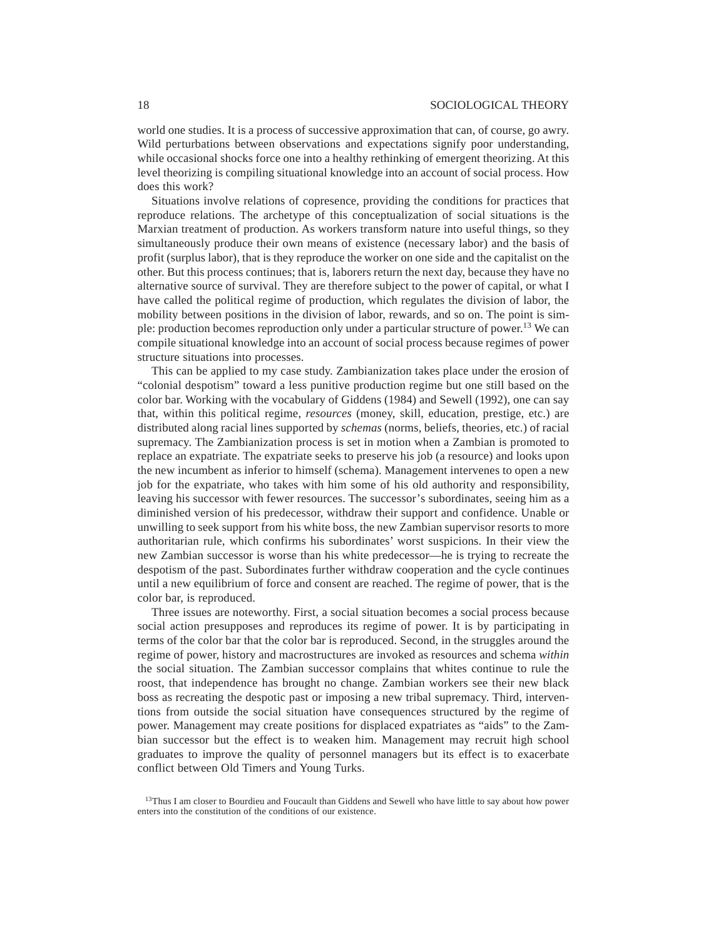world one studies. It is a process of successive approximation that can, of course, go awry. Wild perturbations between observations and expectations signify poor understanding, while occasional shocks force one into a healthy rethinking of emergent theorizing. At this level theorizing is compiling situational knowledge into an account of social process. How does this work?

Situations involve relations of copresence, providing the conditions for practices that reproduce relations. The archetype of this conceptualization of social situations is the Marxian treatment of production. As workers transform nature into useful things, so they simultaneously produce their own means of existence (necessary labor) and the basis of profit (surplus labor), that is they reproduce the worker on one side and the capitalist on the other. But this process continues; that is, laborers return the next day, because they have no alternative source of survival. They are therefore subject to the power of capital, or what I have called the political regime of production, which regulates the division of labor, the mobility between positions in the division of labor, rewards, and so on. The point is simple: production becomes reproduction only under a particular structure of power.<sup>13</sup> We can compile situational knowledge into an account of social process because regimes of power structure situations into processes.

This can be applied to my case study. Zambianization takes place under the erosion of "colonial despotism" toward a less punitive production regime but one still based on the color bar. Working with the vocabulary of Giddens (1984) and Sewell (1992), one can say that, within this political regime, *resources* (money, skill, education, prestige, etc.) are distributed along racial lines supported by *schemas* (norms, beliefs, theories, etc.) of racial supremacy. The Zambianization process is set in motion when a Zambian is promoted to replace an expatriate. The expatriate seeks to preserve his job (a resource) and looks upon the new incumbent as inferior to himself (schema). Management intervenes to open a new job for the expatriate, who takes with him some of his old authority and responsibility, leaving his successor with fewer resources. The successor's subordinates, seeing him as a diminished version of his predecessor, withdraw their support and confidence. Unable or unwilling to seek support from his white boss, the new Zambian supervisor resorts to more authoritarian rule, which confirms his subordinates' worst suspicions. In their view the new Zambian successor is worse than his white predecessor—he is trying to recreate the despotism of the past. Subordinates further withdraw cooperation and the cycle continues until a new equilibrium of force and consent are reached. The regime of power, that is the color bar, is reproduced.

Three issues are noteworthy. First, a social situation becomes a social process because social action presupposes and reproduces its regime of power. It is by participating in terms of the color bar that the color bar is reproduced. Second, in the struggles around the regime of power, history and macrostructures are invoked as resources and schema *within* the social situation. The Zambian successor complains that whites continue to rule the roost, that independence has brought no change. Zambian workers see their new black boss as recreating the despotic past or imposing a new tribal supremacy. Third, interventions from outside the social situation have consequences structured by the regime of power. Management may create positions for displaced expatriates as "aids" to the Zambian successor but the effect is to weaken him. Management may recruit high school graduates to improve the quality of personnel managers but its effect is to exacerbate conflict between Old Timers and Young Turks.

<sup>&</sup>lt;sup>13</sup>Thus I am closer to Bourdieu and Foucault than Giddens and Sewell who have little to say about how power enters into the constitution of the conditions of our existence.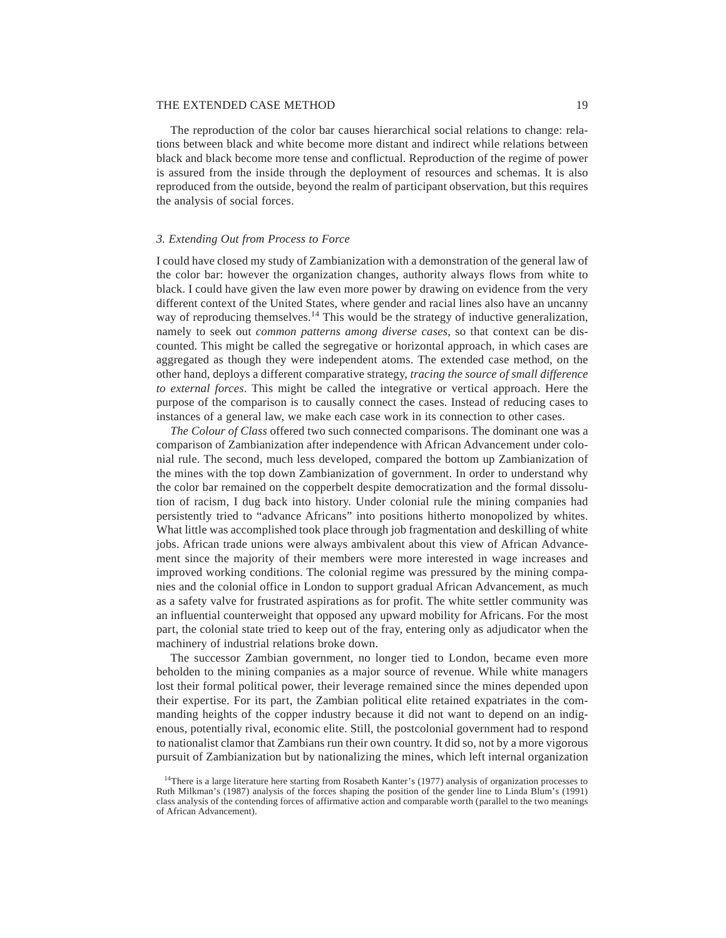The reproduction of the color bar causes hierarchical social relations to change: relations between black and white become more distant and indirect while relations between black and black become more tense and conflictual. Reproduction of the regime of power is assured from the inside through the deployment of resources and schemas. It is also reproduced from the outside, beyond the realm of participant observation, but this requires the analysis of social forces.

# *3. Extending Out from Process to Force*

I could have closed my study of Zambianization with a demonstration of the general law of the color bar: however the organization changes, authority always flows from white to black. I could have given the law even more power by drawing on evidence from the very different context of the United States, where gender and racial lines also have an uncanny way of reproducing themselves.<sup>14</sup> This would be the strategy of inductive generalization, namely to seek out *common patterns among diverse cases*, so that context can be discounted. This might be called the segregative or horizontal approach, in which cases are aggregated as though they were independent atoms. The extended case method, on the other hand, deploys a different comparative strategy, *tracing the source of small difference to external forces*. This might be called the integrative or vertical approach. Here the purpose of the comparison is to causally connect the cases. Instead of reducing cases to instances of a general law, we make each case work in its connection to other cases.

*The Colour of Class* offered two such connected comparisons. The dominant one was a comparison of Zambianization after independence with African Advancement under colonial rule. The second, much less developed, compared the bottom up Zambianization of the mines with the top down Zambianization of government. In order to understand why the color bar remained on the copperbelt despite democratization and the formal dissolution of racism, I dug back into history. Under colonial rule the mining companies had persistently tried to "advance Africans" into positions hitherto monopolized by whites. What little was accomplished took place through job fragmentation and deskilling of white jobs. African trade unions were always ambivalent about this view of African Advancement since the majority of their members were more interested in wage increases and improved working conditions. The colonial regime was pressured by the mining companies and the colonial office in London to support gradual African Advancement, as much as a safety valve for frustrated aspirations as for profit. The white settler community was an influential counterweight that opposed any upward mobility for Africans. For the most part, the colonial state tried to keep out of the fray, entering only as adjudicator when the machinery of industrial relations broke down.

The successor Zambian government, no longer tied to London, became even more beholden to the mining companies as a major source of revenue. While white managers lost their formal political power, their leverage remained since the mines depended upon their expertise. For its part, the Zambian political elite retained expatriates in the commanding heights of the copper industry because it did not want to depend on an indigenous, potentially rival, economic elite. Still, the postcolonial government had to respond to nationalist clamor that Zambians run their own country. It did so, not by a more vigorous pursuit of Zambianization but by nationalizing the mines, which left internal organization

<sup>&</sup>lt;sup>14</sup>There is a large literature here starting from Rosabeth Kanter's (1977) analysis of organization processes to Ruth Milkman's (1987) analysis of the forces shaping the position of the gender line to Linda Blum's (1991) class analysis of the contending forces of affirmative action and comparable worth (parallel to the two meanings of African Advancement).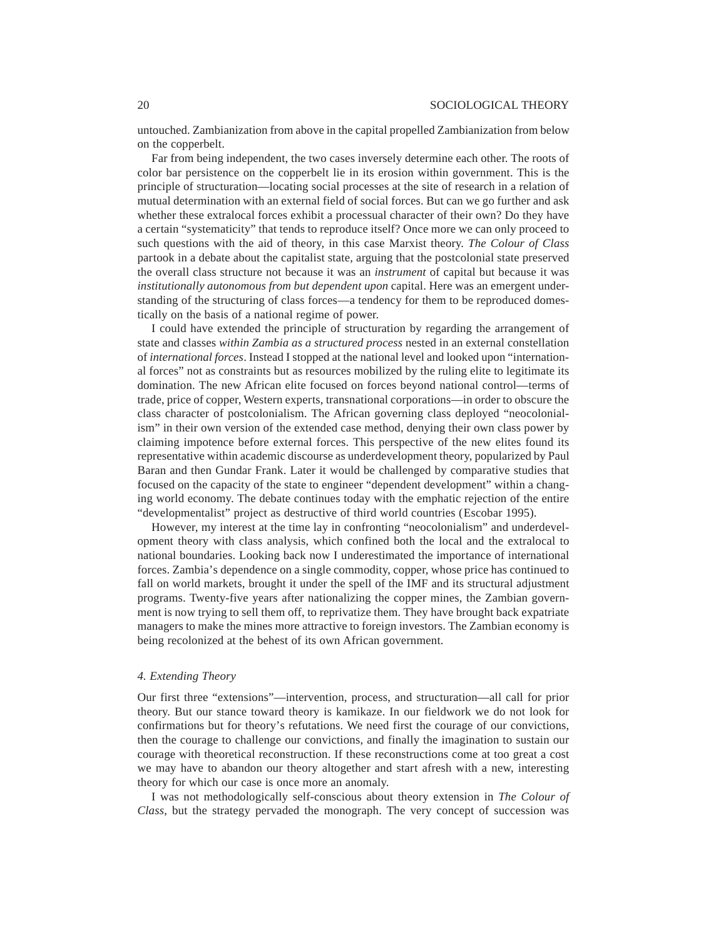untouched. Zambianization from above in the capital propelled Zambianization from below on the copperbelt.

Far from being independent, the two cases inversely determine each other. The roots of color bar persistence on the copperbelt lie in its erosion within government. This is the principle of structuration—locating social processes at the site of research in a relation of mutual determination with an external field of social forces. But can we go further and ask whether these extralocal forces exhibit a processual character of their own? Do they have a certain "systematicity" that tends to reproduce itself? Once more we can only proceed to such questions with the aid of theory, in this case Marxist theory. *The Colour of Class* partook in a debate about the capitalist state, arguing that the postcolonial state preserved the overall class structure not because it was an *instrument* of capital but because it was *institutionally autonomous from but dependent upon* capital. Here was an emergent understanding of the structuring of class forces—a tendency for them to be reproduced domestically on the basis of a national regime of power.

I could have extended the principle of structuration by regarding the arrangement of state and classes *within Zambia as a structured process* nested in an external constellation of *international forces*. Instead I stopped at the national level and looked upon "international forces" not as constraints but as resources mobilized by the ruling elite to legitimate its domination. The new African elite focused on forces beyond national control—terms of trade, price of copper, Western experts, transnational corporations—in order to obscure the class character of postcolonialism. The African governing class deployed "neocolonialism" in their own version of the extended case method, denying their own class power by claiming impotence before external forces. This perspective of the new elites found its representative within academic discourse as underdevelopment theory, popularized by Paul Baran and then Gundar Frank. Later it would be challenged by comparative studies that focused on the capacity of the state to engineer "dependent development" within a changing world economy. The debate continues today with the emphatic rejection of the entire "developmentalist" project as destructive of third world countries (Escobar 1995).

However, my interest at the time lay in confronting "neocolonialism" and underdevelopment theory with class analysis, which confined both the local and the extralocal to national boundaries. Looking back now I underestimated the importance of international forces. Zambia's dependence on a single commodity, copper, whose price has continued to fall on world markets, brought it under the spell of the IMF and its structural adjustment programs. Twenty-five years after nationalizing the copper mines, the Zambian government is now trying to sell them off, to reprivatize them. They have brought back expatriate managers to make the mines more attractive to foreign investors. The Zambian economy is being recolonized at the behest of its own African government.

# *4. Extending Theory*

Our first three "extensions"—intervention, process, and structuration—all call for prior theory. But our stance toward theory is kamikaze. In our fieldwork we do not look for confirmations but for theory's refutations. We need first the courage of our convictions, then the courage to challenge our convictions, and finally the imagination to sustain our courage with theoretical reconstruction. If these reconstructions come at too great a cost we may have to abandon our theory altogether and start afresh with a new, interesting theory for which our case is once more an anomaly.

I was not methodologically self-conscious about theory extension in *The Colour of Class*, but the strategy pervaded the monograph. The very concept of succession was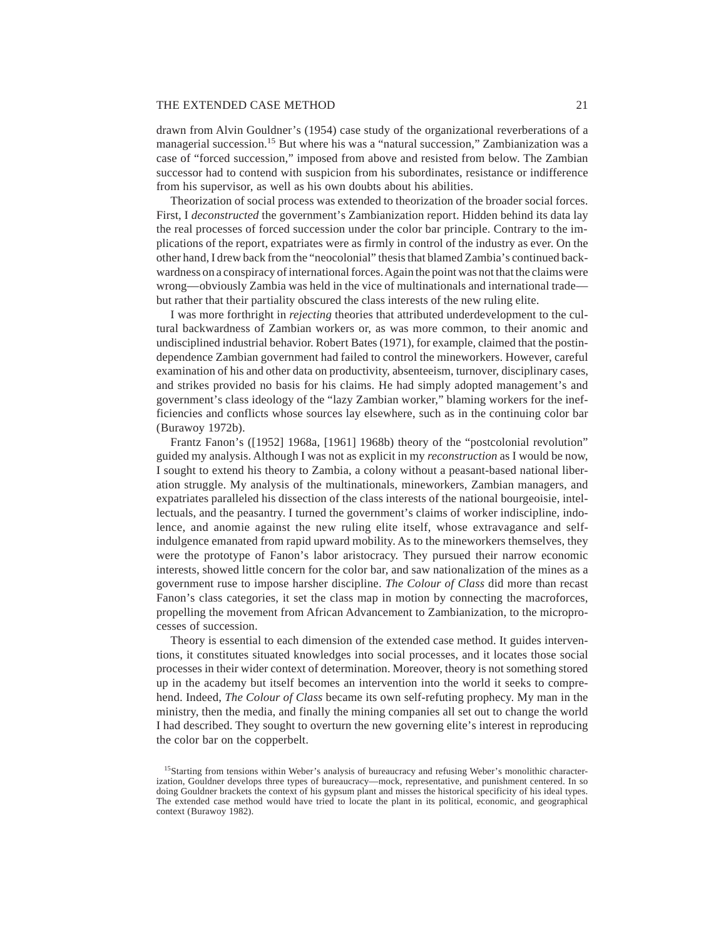drawn from Alvin Gouldner's (1954) case study of the organizational reverberations of a managerial succession.<sup>15</sup> But where his was a "natural succession," Zambianization was a case of "forced succession," imposed from above and resisted from below. The Zambian successor had to contend with suspicion from his subordinates, resistance or indifference from his supervisor, as well as his own doubts about his abilities.

Theorization of social process was extended to theorization of the broader social forces. First, I *deconstructed* the government's Zambianization report. Hidden behind its data lay the real processes of forced succession under the color bar principle. Contrary to the implications of the report, expatriates were as firmly in control of the industry as ever. On the other hand, I drew back from the "neocolonial" thesis that blamed Zambia's continued backwardness on a conspiracy of international forces.Again the point was not that the claims were wrong—obviously Zambia was held in the vice of multinationals and international trade but rather that their partiality obscured the class interests of the new ruling elite.

I was more forthright in *rejecting* theories that attributed underdevelopment to the cultural backwardness of Zambian workers or, as was more common, to their anomic and undisciplined industrial behavior. Robert Bates (1971), for example, claimed that the postindependence Zambian government had failed to control the mineworkers. However, careful examination of his and other data on productivity, absenteeism, turnover, disciplinary cases, and strikes provided no basis for his claims. He had simply adopted management's and government's class ideology of the "lazy Zambian worker," blaming workers for the inefficiencies and conflicts whose sources lay elsewhere, such as in the continuing color bar (Burawoy 1972b).

Frantz Fanon's ([1952] 1968a, [1961] 1968b) theory of the "postcolonial revolution" guided my analysis. Although I was not as explicit in my *reconstruction* as I would be now, I sought to extend his theory to Zambia, a colony without a peasant-based national liberation struggle. My analysis of the multinationals, mineworkers, Zambian managers, and expatriates paralleled his dissection of the class interests of the national bourgeoisie, intellectuals, and the peasantry. I turned the government's claims of worker indiscipline, indolence, and anomie against the new ruling elite itself, whose extravagance and selfindulgence emanated from rapid upward mobility. As to the mineworkers themselves, they were the prototype of Fanon's labor aristocracy. They pursued their narrow economic interests, showed little concern for the color bar, and saw nationalization of the mines as a government ruse to impose harsher discipline. *The Colour of Class* did more than recast Fanon's class categories, it set the class map in motion by connecting the macroforces, propelling the movement from African Advancement to Zambianization, to the microprocesses of succession.

Theory is essential to each dimension of the extended case method. It guides interventions, it constitutes situated knowledges into social processes, and it locates those social processes in their wider context of determination. Moreover, theory is not something stored up in the academy but itself becomes an intervention into the world it seeks to comprehend. Indeed, *The Colour of Class* became its own self-refuting prophecy. My man in the ministry, then the media, and finally the mining companies all set out to change the world I had described. They sought to overturn the new governing elite's interest in reproducing the color bar on the copperbelt.

<sup>&</sup>lt;sup>15</sup>Starting from tensions within Weber's analysis of bureaucracy and refusing Weber's monolithic characterization, Gouldner develops three types of bureaucracy—mock, representative, and punishment centered. In so doing Gouldner brackets the context of his gypsum plant and misses the historical specificity of his ideal types. The extended case method would have tried to locate the plant in its political, economic, and geographical context (Burawoy 1982).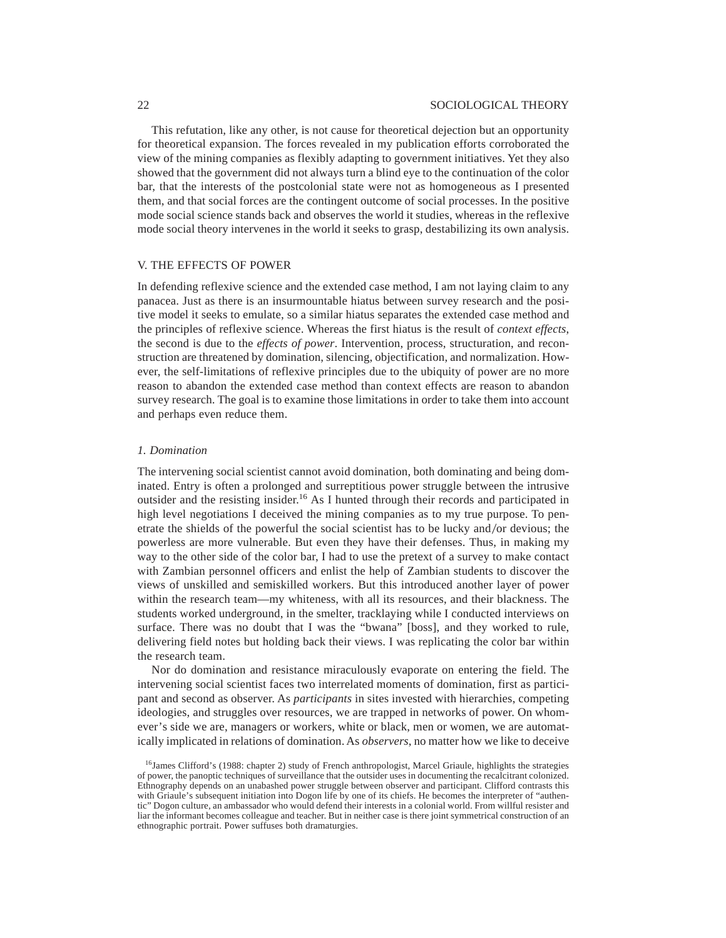This refutation, like any other, is not cause for theoretical dejection but an opportunity for theoretical expansion. The forces revealed in my publication efforts corroborated the view of the mining companies as flexibly adapting to government initiatives. Yet they also showed that the government did not always turn a blind eye to the continuation of the color bar, that the interests of the postcolonial state were not as homogeneous as I presented them, and that social forces are the contingent outcome of social processes. In the positive mode social science stands back and observes the world it studies, whereas in the reflexive mode social theory intervenes in the world it seeks to grasp, destabilizing its own analysis.

# V. THE EFFECTS OF POWER

In defending reflexive science and the extended case method, I am not laying claim to any panacea. Just as there is an insurmountable hiatus between survey research and the positive model it seeks to emulate, so a similar hiatus separates the extended case method and the principles of reflexive science. Whereas the first hiatus is the result of *context effects*, the second is due to the *effects of power*. Intervention, process, structuration, and reconstruction are threatened by domination, silencing, objectification, and normalization. However, the self-limitations of reflexive principles due to the ubiquity of power are no more reason to abandon the extended case method than context effects are reason to abandon survey research. The goal is to examine those limitations in order to take them into account and perhaps even reduce them.

### *1. Domination*

The intervening social scientist cannot avoid domination, both dominating and being dominated. Entry is often a prolonged and surreptitious power struggle between the intrusive outsider and the resisting insider.<sup>16</sup> As I hunted through their records and participated in high level negotiations I deceived the mining companies as to my true purpose. To penetrate the shields of the powerful the social scientist has to be lucky and/or devious; the powerless are more vulnerable. But even they have their defenses. Thus, in making my way to the other side of the color bar, I had to use the pretext of a survey to make contact with Zambian personnel officers and enlist the help of Zambian students to discover the views of unskilled and semiskilled workers. But this introduced another layer of power within the research team—my whiteness, with all its resources, and their blackness. The students worked underground, in the smelter, tracklaying while I conducted interviews on surface. There was no doubt that I was the "bwana" [boss], and they worked to rule, delivering field notes but holding back their views. I was replicating the color bar within the research team.

Nor do domination and resistance miraculously evaporate on entering the field. The intervening social scientist faces two interrelated moments of domination, first as participant and second as observer. As *participants* in sites invested with hierarchies, competing ideologies, and struggles over resources, we are trapped in networks of power. On whomever's side we are, managers or workers, white or black, men or women, we are automatically implicated in relations of domination. As *observers*, no matter how we like to deceive

<sup>&</sup>lt;sup>16</sup>James Clifford's (1988: chapter 2) study of French anthropologist, Marcel Griaule, highlights the strategies of power, the panoptic techniques of surveillance that the outsider uses in documenting the recalcitrant colonized. Ethnography depends on an unabashed power struggle between observer and participant. Clifford contrasts this with Griaule's subsequent initiation into Dogon life by one of its chiefs. He becomes the interpreter of "authentic" Dogon culture, an ambassador who would defend their interests in a colonial world. From willful resister and liar the informant becomes colleague and teacher. But in neither case is there joint symmetrical construction of an ethnographic portrait. Power suffuses both dramaturgies.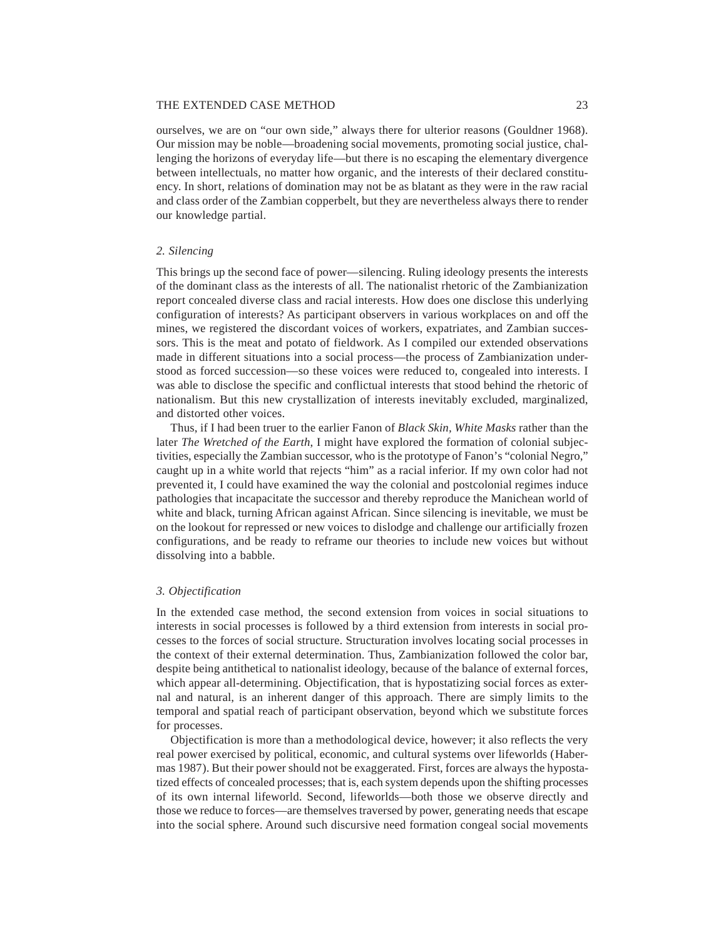ourselves, we are on "our own side," always there for ulterior reasons (Gouldner 1968). Our mission may be noble—broadening social movements, promoting social justice, challenging the horizons of everyday life—but there is no escaping the elementary divergence between intellectuals, no matter how organic, and the interests of their declared constituency. In short, relations of domination may not be as blatant as they were in the raw racial and class order of the Zambian copperbelt, but they are nevertheless always there to render our knowledge partial.

#### *2. Silencing*

This brings up the second face of power—silencing. Ruling ideology presents the interests of the dominant class as the interests of all. The nationalist rhetoric of the Zambianization report concealed diverse class and racial interests. How does one disclose this underlying configuration of interests? As participant observers in various workplaces on and off the mines, we registered the discordant voices of workers, expatriates, and Zambian successors. This is the meat and potato of fieldwork. As I compiled our extended observations made in different situations into a social process—the process of Zambianization understood as forced succession—so these voices were reduced to, congealed into interests. I was able to disclose the specific and conflictual interests that stood behind the rhetoric of nationalism. But this new crystallization of interests inevitably excluded, marginalized, and distorted other voices.

Thus, if I had been truer to the earlier Fanon of *Black Skin, White Masks* rather than the later *The Wretched of the Earth*, I might have explored the formation of colonial subjectivities, especially the Zambian successor, who is the prototype of Fanon's "colonial Negro," caught up in a white world that rejects "him" as a racial inferior. If my own color had not prevented it, I could have examined the way the colonial and postcolonial regimes induce pathologies that incapacitate the successor and thereby reproduce the Manichean world of white and black, turning African against African. Since silencing is inevitable, we must be on the lookout for repressed or new voices to dislodge and challenge our artificially frozen configurations, and be ready to reframe our theories to include new voices but without dissolving into a babble.

### *3. Objectification*

In the extended case method, the second extension from voices in social situations to interests in social processes is followed by a third extension from interests in social processes to the forces of social structure. Structuration involves locating social processes in the context of their external determination. Thus, Zambianization followed the color bar, despite being antithetical to nationalist ideology, because of the balance of external forces, which appear all-determining. Objectification, that is hypostatizing social forces as external and natural, is an inherent danger of this approach. There are simply limits to the temporal and spatial reach of participant observation, beyond which we substitute forces for processes.

Objectification is more than a methodological device, however; it also reflects the very real power exercised by political, economic, and cultural systems over lifeworlds (Habermas 1987). But their power should not be exaggerated. First, forces are always the hypostatized effects of concealed processes; that is, each system depends upon the shifting processes of its own internal lifeworld. Second, lifeworlds—both those we observe directly and those we reduce to forces—are themselves traversed by power, generating needs that escape into the social sphere. Around such discursive need formation congeal social movements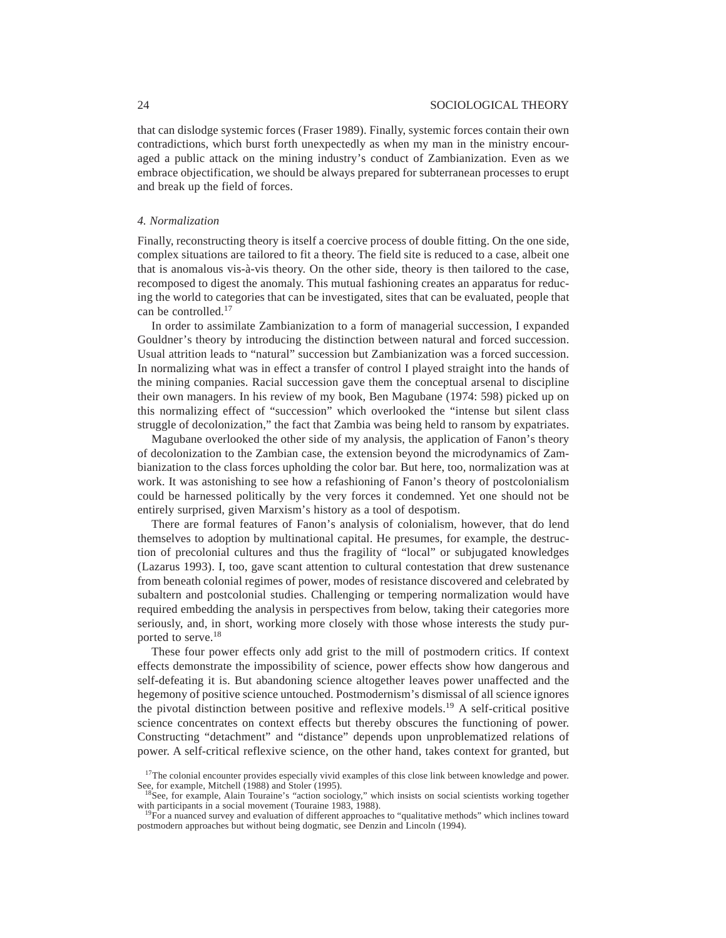that can dislodge systemic forces (Fraser 1989). Finally, systemic forces contain their own contradictions, which burst forth unexpectedly as when my man in the ministry encouraged a public attack on the mining industry's conduct of Zambianization. Even as we embrace objectification, we should be always prepared for subterranean processes to erupt and break up the field of forces.

# *4. Normalization*

Finally, reconstructing theory is itself a coercive process of double fitting. On the one side, complex situations are tailored to fit a theory. The field site is reduced to a case, albeit one that is anomalous vis-à-vis theory. On the other side, theory is then tailored to the case, recomposed to digest the anomaly. This mutual fashioning creates an apparatus for reducing the world to categories that can be investigated, sites that can be evaluated, people that can be controlled.<sup>17</sup>

In order to assimilate Zambianization to a form of managerial succession, I expanded Gouldner's theory by introducing the distinction between natural and forced succession. Usual attrition leads to "natural" succession but Zambianization was a forced succession. In normalizing what was in effect a transfer of control I played straight into the hands of the mining companies. Racial succession gave them the conceptual arsenal to discipline their own managers. In his review of my book, Ben Magubane (1974: 598) picked up on this normalizing effect of "succession" which overlooked the "intense but silent class struggle of decolonization," the fact that Zambia was being held to ransom by expatriates.

Magubane overlooked the other side of my analysis, the application of Fanon's theory of decolonization to the Zambian case, the extension beyond the microdynamics of Zambianization to the class forces upholding the color bar. But here, too, normalization was at work. It was astonishing to see how a refashioning of Fanon's theory of postcolonialism could be harnessed politically by the very forces it condemned. Yet one should not be entirely surprised, given Marxism's history as a tool of despotism.

There are formal features of Fanon's analysis of colonialism, however, that do lend themselves to adoption by multinational capital. He presumes, for example, the destruction of precolonial cultures and thus the fragility of "local" or subjugated knowledges (Lazarus 1993). I, too, gave scant attention to cultural contestation that drew sustenance from beneath colonial regimes of power, modes of resistance discovered and celebrated by subaltern and postcolonial studies. Challenging or tempering normalization would have required embedding the analysis in perspectives from below, taking their categories more seriously, and, in short, working more closely with those whose interests the study purported to serve.<sup>18</sup>

These four power effects only add grist to the mill of postmodern critics. If context effects demonstrate the impossibility of science, power effects show how dangerous and self-defeating it is. But abandoning science altogether leaves power unaffected and the hegemony of positive science untouched. Postmodernism's dismissal of all science ignores the pivotal distinction between positive and reflexive models.19 A self-critical positive science concentrates on context effects but thereby obscures the functioning of power. Constructing "detachment" and "distance" depends upon unproblematized relations of power. A self-critical reflexive science, on the other hand, takes context for granted, but

<sup>&</sup>lt;sup>17</sup>The colonial encounter provides especially vivid examples of this close link between knowledge and power. See, for example, Mitchell (1988) and Stoler (1995).

<sup>&</sup>lt;sup>18</sup>See, for example, Alain Touraine's "action sociology," which insists on social scientists working together with participants in a social movement (Touraine 1983, 1988).

 $19$ For a nuanced survey and evaluation of different approaches to "qualitative methods" which inclines toward postmodern approaches but without being dogmatic, see Denzin and Lincoln (1994).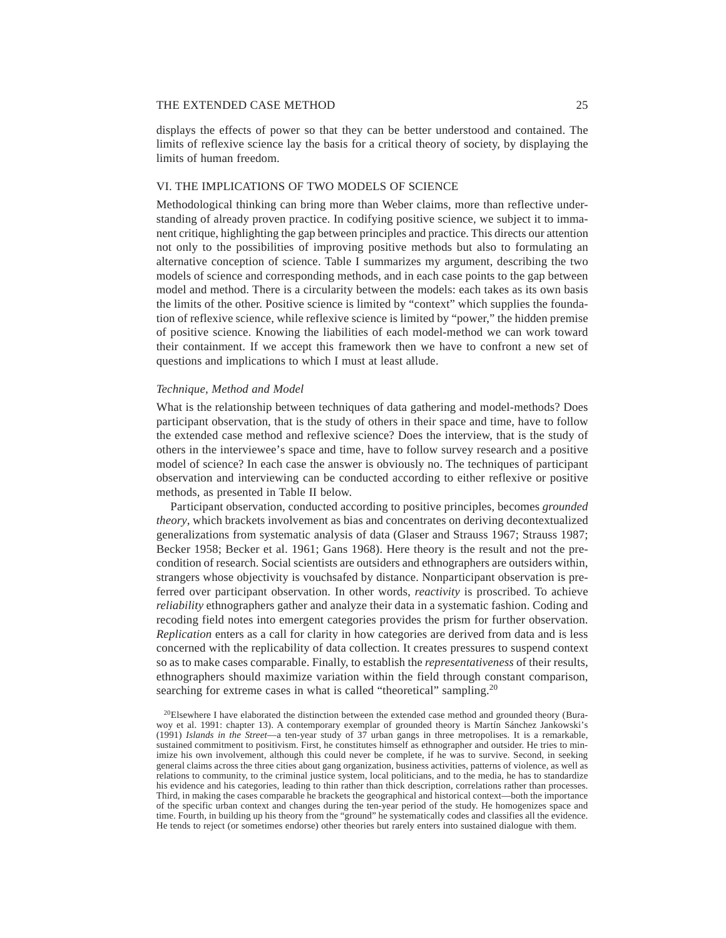displays the effects of power so that they can be better understood and contained. The limits of reflexive science lay the basis for a critical theory of society, by displaying the limits of human freedom.

# VI. THE IMPLICATIONS OF TWO MODELS OF SCIENCE

Methodological thinking can bring more than Weber claims, more than reflective understanding of already proven practice. In codifying positive science, we subject it to immanent critique, highlighting the gap between principles and practice. This directs our attention not only to the possibilities of improving positive methods but also to formulating an alternative conception of science. Table I summarizes my argument, describing the two models of science and corresponding methods, and in each case points to the gap between model and method. There is a circularity between the models: each takes as its own basis the limits of the other. Positive science is limited by "context" which supplies the foundation of reflexive science, while reflexive science is limited by "power," the hidden premise of positive science. Knowing the liabilities of each model-method we can work toward their containment. If we accept this framework then we have to confront a new set of questions and implications to which I must at least allude.

# *Technique, Method and Model*

What is the relationship between techniques of data gathering and model-methods? Does participant observation, that is the study of others in their space and time, have to follow the extended case method and reflexive science? Does the interview, that is the study of others in the interviewee's space and time, have to follow survey research and a positive model of science? In each case the answer is obviously no. The techniques of participant observation and interviewing can be conducted according to either reflexive or positive methods, as presented in Table II below.

Participant observation, conducted according to positive principles, becomes *grounded theory*, which brackets involvement as bias and concentrates on deriving decontextualized generalizations from systematic analysis of data (Glaser and Strauss 1967; Strauss 1987; Becker 1958; Becker et al. 1961; Gans 1968). Here theory is the result and not the precondition of research. Social scientists are outsiders and ethnographers are outsiders within, strangers whose objectivity is vouchsafed by distance. Nonparticipant observation is preferred over participant observation. In other words, *reactivity* is proscribed. To achieve *reliability* ethnographers gather and analyze their data in a systematic fashion. Coding and recoding field notes into emergent categories provides the prism for further observation. *Replication* enters as a call for clarity in how categories are derived from data and is less concerned with the replicability of data collection. It creates pressures to suspend context so as to make cases comparable. Finally, to establish the *representativeness* of their results, ethnographers should maximize variation within the field through constant comparison, searching for extreme cases in what is called "theoretical" sampling.<sup>20</sup>

<sup>20</sup>Elsewhere I have elaborated the distinction between the extended case method and grounded theory (Burawoy et al. 1991: chapter 13). A contemporary exemplar of grounded theory is Martín Sánchez Jankowski's (1991) *Islands in the Street*—a ten-year study of 37 urban gangs in three metropolises. It is a remarkable, sustained commitment to positivism. First, he constitutes himself as ethnographer and outsider. He tries to minimize his own involvement, although this could never be complete, if he was to survive. Second, in seeking general claims across the three cities about gang organization, business activities, patterns of violence, as well as relations to community, to the criminal justice system, local politicians, and to the media, he has to standardize his evidence and his categories, leading to thin rather than thick description, correlations rather than processes. Third, in making the cases comparable he brackets the geographical and historical context—both the importance of the specific urban context and changes during the ten-year period of the study. He homogenizes space and time. Fourth, in building up his theory from the "ground" he systematically codes and classifies all the evidence. He tends to reject (or sometimes endorse) other theories but rarely enters into sustained dialogue with them.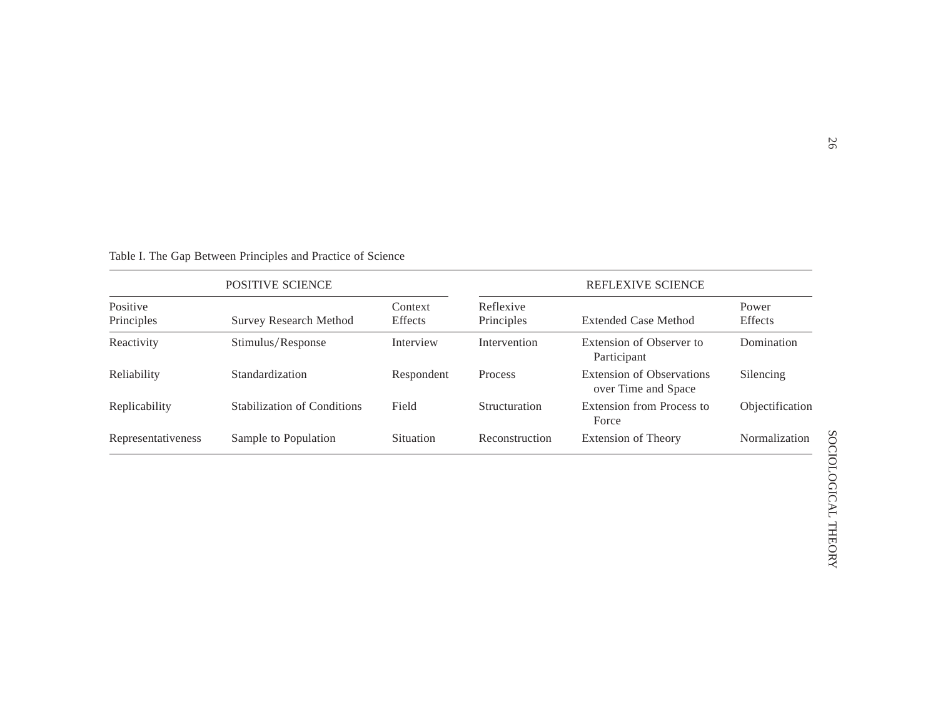| POSITIVE SCIENCE       |                                    |                           | <b>REFLEXIVE SCIENCE</b> |                                                  |                  |
|------------------------|------------------------------------|---------------------------|--------------------------|--------------------------------------------------|------------------|
| Positive<br>Principles | <b>Survey Research Method</b>      | Context<br><b>Effects</b> | Reflexive<br>Principles  | <b>Extended Case Method</b>                      | Power<br>Effects |
| Reactivity             | Stimulus/Response                  | Interview                 | Intervention             | Extension of Observer to<br>Participant          | Domination       |
| Reliability            | Standardization                    | Respondent                | Process                  | Extension of Observations<br>over Time and Space | Silencing        |
| Replicability          | <b>Stabilization of Conditions</b> | Field                     | Structuration            | Extension from Process to<br>Force               | Objectification  |
| Representativeness     | Sample to Population               | Situation                 | Reconstruction           | <b>Extension of Theory</b>                       | Normalization    |

Table I. The Gap Between Principles and Practice of Science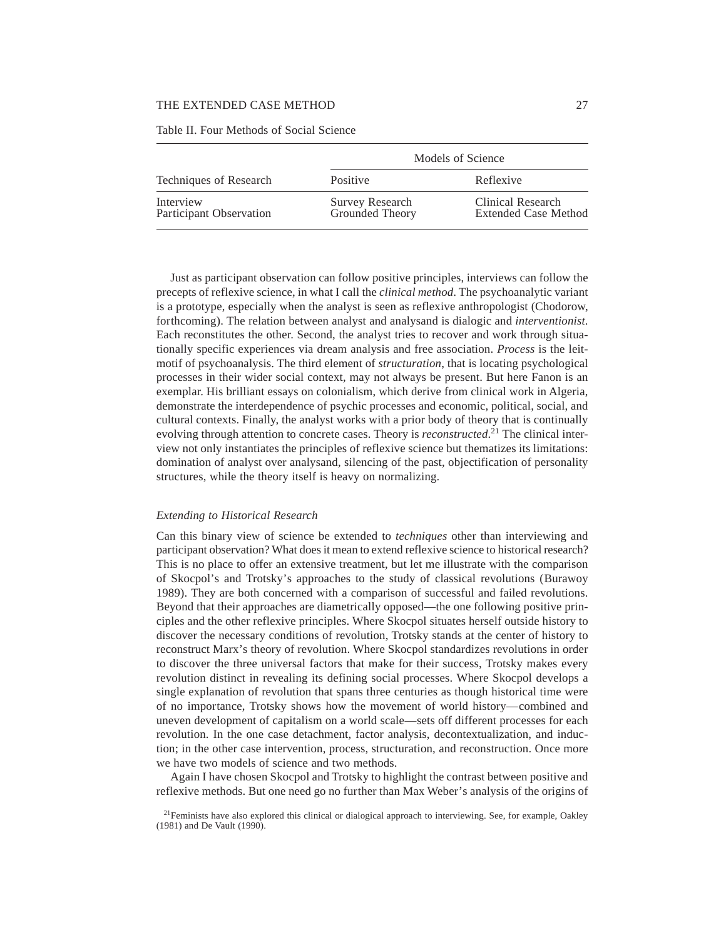|                                      | Models of Science                  |                                                  |  |
|--------------------------------------|------------------------------------|--------------------------------------------------|--|
| Techniques of Research               | Positive                           | Reflexive                                        |  |
| Interview<br>Participant Observation | Survey Research<br>Grounded Theory | Clinical Research<br><b>Extended Case Method</b> |  |

# Table II. Four Methods of Social Science

Just as participant observation can follow positive principles, interviews can follow the precepts of reflexive science, in what I call the *clinical method*. The psychoanalytic variant is a prototype, especially when the analyst is seen as reflexive anthropologist (Chodorow, forthcoming). The relation between analyst and analysand is dialogic and *interventionist*. Each reconstitutes the other. Second, the analyst tries to recover and work through situationally specific experiences via dream analysis and free association. *Process* is the leitmotif of psychoanalysis. The third element of *structuration*, that is locating psychological processes in their wider social context, may not always be present. But here Fanon is an exemplar. His brilliant essays on colonialism, which derive from clinical work in Algeria, demonstrate the interdependence of psychic processes and economic, political, social, and cultural contexts. Finally, the analyst works with a prior body of theory that is continually evolving through attention to concrete cases. Theory is *reconstructed*. <sup>21</sup> The clinical interview not only instantiates the principles of reflexive science but thematizes its limitations: domination of analyst over analysand, silencing of the past, objectification of personality structures, while the theory itself is heavy on normalizing.

#### *Extending to Historical Research*

Can this binary view of science be extended to *techniques* other than interviewing and participant observation? What does it mean to extend reflexive science to historical research? This is no place to offer an extensive treatment, but let me illustrate with the comparison of Skocpol's and Trotsky's approaches to the study of classical revolutions (Burawoy 1989). They are both concerned with a comparison of successful and failed revolutions. Beyond that their approaches are diametrically opposed—the one following positive principles and the other reflexive principles. Where Skocpol situates herself outside history to discover the necessary conditions of revolution, Trotsky stands at the center of history to reconstruct Marx's theory of revolution. Where Skocpol standardizes revolutions in order to discover the three universal factors that make for their success, Trotsky makes every revolution distinct in revealing its defining social processes. Where Skocpol develops a single explanation of revolution that spans three centuries as though historical time were of no importance, Trotsky shows how the movement of world history—combined and uneven development of capitalism on a world scale—sets off different processes for each revolution. In the one case detachment, factor analysis, decontextualization, and induction; in the other case intervention, process, structuration, and reconstruction. Once more we have two models of science and two methods.

Again I have chosen Skocpol and Trotsky to highlight the contrast between positive and reflexive methods. But one need go no further than Max Weber's analysis of the origins of

 $21$ Feminists have also explored this clinical or dialogical approach to interviewing. See, for example, Oakley (1981) and De Vault (1990).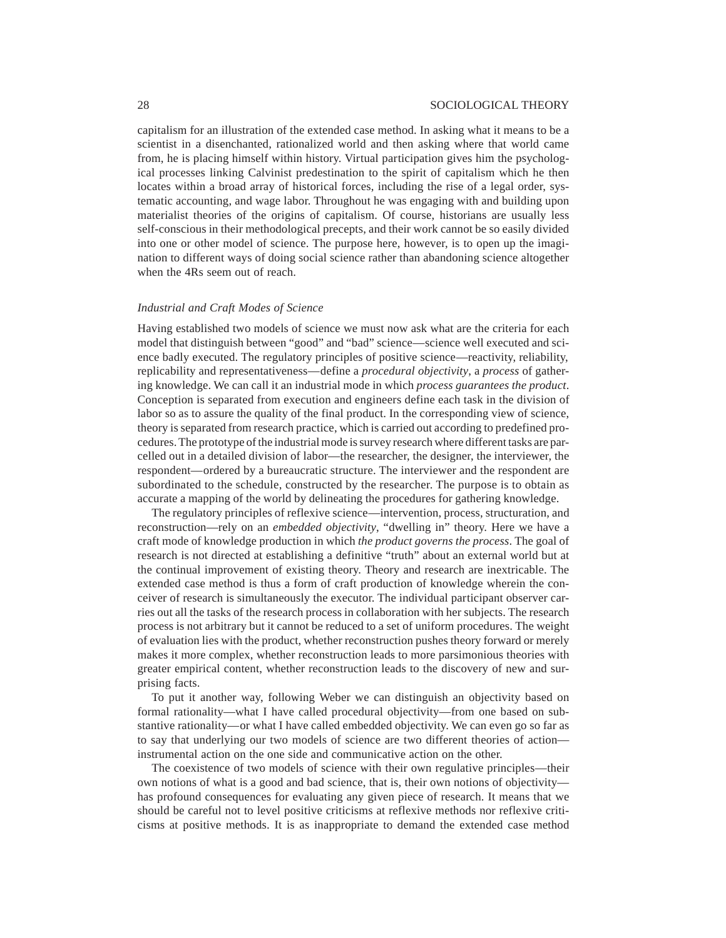capitalism for an illustration of the extended case method. In asking what it means to be a scientist in a disenchanted, rationalized world and then asking where that world came from, he is placing himself within history. Virtual participation gives him the psychological processes linking Calvinist predestination to the spirit of capitalism which he then locates within a broad array of historical forces, including the rise of a legal order, systematic accounting, and wage labor. Throughout he was engaging with and building upon materialist theories of the origins of capitalism. Of course, historians are usually less self-conscious in their methodological precepts, and their work cannot be so easily divided into one or other model of science. The purpose here, however, is to open up the imagination to different ways of doing social science rather than abandoning science altogether when the 4Rs seem out of reach.

#### *Industrial and Craft Modes of Science*

Having established two models of science we must now ask what are the criteria for each model that distinguish between "good" and "bad" science—science well executed and science badly executed. The regulatory principles of positive science—reactivity, reliability, replicability and representativeness—define a *procedural objectivity*, a *process* of gathering knowledge. We can call it an industrial mode in which *process guarantees the product*. Conception is separated from execution and engineers define each task in the division of labor so as to assure the quality of the final product. In the corresponding view of science, theory is separated from research practice, which is carried out according to predefined procedures. The prototype of the industrial mode is survey research where different tasks are parcelled out in a detailed division of labor—the researcher, the designer, the interviewer, the respondent—ordered by a bureaucratic structure. The interviewer and the respondent are subordinated to the schedule, constructed by the researcher. The purpose is to obtain as accurate a mapping of the world by delineating the procedures for gathering knowledge.

The regulatory principles of reflexive science—intervention, process, structuration, and reconstruction—rely on an *embedded objectivity*, "dwelling in" theory. Here we have a craft mode of knowledge production in which *the product governs the process*. The goal of research is not directed at establishing a definitive "truth" about an external world but at the continual improvement of existing theory. Theory and research are inextricable. The extended case method is thus a form of craft production of knowledge wherein the conceiver of research is simultaneously the executor. The individual participant observer carries out all the tasks of the research process in collaboration with her subjects. The research process is not arbitrary but it cannot be reduced to a set of uniform procedures. The weight of evaluation lies with the product, whether reconstruction pushes theory forward or merely makes it more complex, whether reconstruction leads to more parsimonious theories with greater empirical content, whether reconstruction leads to the discovery of new and surprising facts.

To put it another way, following Weber we can distinguish an objectivity based on formal rationality—what I have called procedural objectivity—from one based on substantive rationality—or what I have called embedded objectivity. We can even go so far as to say that underlying our two models of science are two different theories of action instrumental action on the one side and communicative action on the other.

The coexistence of two models of science with their own regulative principles—their own notions of what is a good and bad science, that is, their own notions of objectivity has profound consequences for evaluating any given piece of research. It means that we should be careful not to level positive criticisms at reflexive methods nor reflexive criticisms at positive methods. It is as inappropriate to demand the extended case method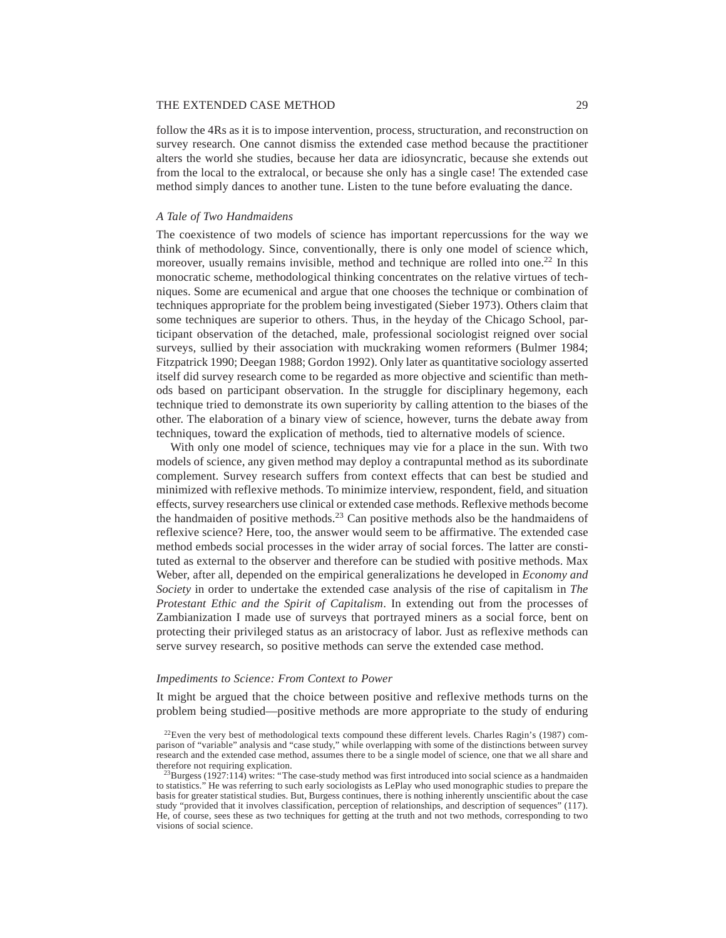follow the 4Rs as it is to impose intervention, process, structuration, and reconstruction on survey research. One cannot dismiss the extended case method because the practitioner alters the world she studies, because her data are idiosyncratic, because she extends out from the local to the extralocal, or because she only has a single case! The extended case method simply dances to another tune. Listen to the tune before evaluating the dance.

### *A Tale of Two Handmaidens*

The coexistence of two models of science has important repercussions for the way we think of methodology. Since, conventionally, there is only one model of science which, moreover, usually remains invisible, method and technique are rolled into one.<sup>22</sup> In this monocratic scheme, methodological thinking concentrates on the relative virtues of techniques. Some are ecumenical and argue that one chooses the technique or combination of techniques appropriate for the problem being investigated (Sieber 1973). Others claim that some techniques are superior to others. Thus, in the heyday of the Chicago School, participant observation of the detached, male, professional sociologist reigned over social surveys, sullied by their association with muckraking women reformers (Bulmer 1984; Fitzpatrick 1990; Deegan 1988; Gordon 1992). Only later as quantitative sociology asserted itself did survey research come to be regarded as more objective and scientific than methods based on participant observation. In the struggle for disciplinary hegemony, each technique tried to demonstrate its own superiority by calling attention to the biases of the other. The elaboration of a binary view of science, however, turns the debate away from techniques, toward the explication of methods, tied to alternative models of science.

With only one model of science, techniques may vie for a place in the sun. With two models of science, any given method may deploy a contrapuntal method as its subordinate complement. Survey research suffers from context effects that can best be studied and minimized with reflexive methods. To minimize interview, respondent, field, and situation effects, survey researchers use clinical or extended case methods. Reflexive methods become the handmaiden of positive methods.<sup>23</sup> Can positive methods also be the handmaidens of reflexive science? Here, too, the answer would seem to be affirmative. The extended case method embeds social processes in the wider array of social forces. The latter are constituted as external to the observer and therefore can be studied with positive methods. Max Weber, after all, depended on the empirical generalizations he developed in *Economy and Society* in order to undertake the extended case analysis of the rise of capitalism in *The Protestant Ethic and the Spirit of Capitalism*. In extending out from the processes of Zambianization I made use of surveys that portrayed miners as a social force, bent on protecting their privileged status as an aristocracy of labor. Just as reflexive methods can serve survey research, so positive methods can serve the extended case method.

### *Impediments to Science: From Context to Power*

It might be argued that the choice between positive and reflexive methods turns on the problem being studied—positive methods are more appropriate to the study of enduring

 $^{22}$ Even the very best of methodological texts compound these different levels. Charles Ragin's (1987) comparison of "variable" analysis and "case study," while overlapping with some of the distinctions between survey research and the extended case method, assumes there to be a single model of science, one that we all share and therefore not requiring explication.

 $^{23}$ Burgess (1927:114) writes: "The case-study method was first introduced into social science as a handmaiden to statistics." He was referring to such early sociologists as LePlay who used monographic studies to prepare the basis for greater statistical studies. But, Burgess continues, there is nothing inherently unscientific about the case study "provided that it involves classification, perception of relationships, and description of sequences" (117). He, of course, sees these as two techniques for getting at the truth and not two methods, corresponding to two visions of social science.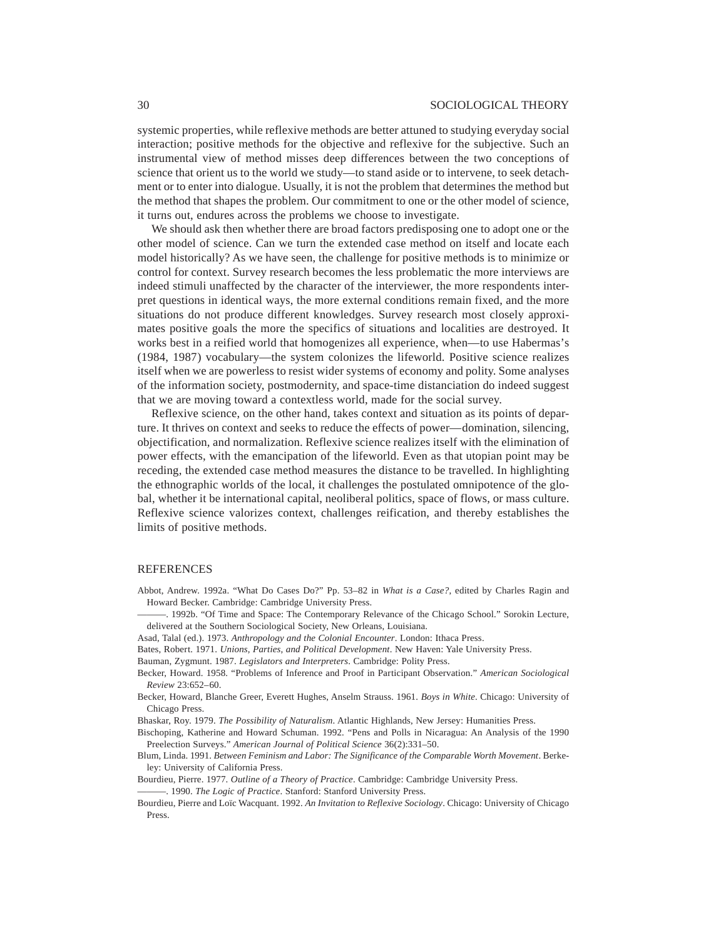systemic properties, while reflexive methods are better attuned to studying everyday social interaction; positive methods for the objective and reflexive for the subjective. Such an instrumental view of method misses deep differences between the two conceptions of science that orient us to the world we study—to stand aside or to intervene, to seek detachment or to enter into dialogue. Usually, it is not the problem that determines the method but the method that shapes the problem. Our commitment to one or the other model of science, it turns out, endures across the problems we choose to investigate.

We should ask then whether there are broad factors predisposing one to adopt one or the other model of science. Can we turn the extended case method on itself and locate each model historically? As we have seen, the challenge for positive methods is to minimize or control for context. Survey research becomes the less problematic the more interviews are indeed stimuli unaffected by the character of the interviewer, the more respondents interpret questions in identical ways, the more external conditions remain fixed, and the more situations do not produce different knowledges. Survey research most closely approximates positive goals the more the specifics of situations and localities are destroyed. It works best in a reified world that homogenizes all experience, when—to use Habermas's (1984, 1987) vocabulary—the system colonizes the lifeworld. Positive science realizes itself when we are powerless to resist wider systems of economy and polity. Some analyses of the information society, postmodernity, and space-time distanciation do indeed suggest that we are moving toward a contextless world, made for the social survey.

Reflexive science, on the other hand, takes context and situation as its points of departure. It thrives on context and seeks to reduce the effects of power—domination, silencing, objectification, and normalization. Reflexive science realizes itself with the elimination of power effects, with the emancipation of the lifeworld. Even as that utopian point may be receding, the extended case method measures the distance to be travelled. In highlighting the ethnographic worlds of the local, it challenges the postulated omnipotence of the global, whether it be international capital, neoliberal politics, space of flows, or mass culture. Reflexive science valorizes context, challenges reification, and thereby establishes the limits of positive methods.

#### **REFERENCES**

- Abbot, Andrew. 1992a. "What Do Cases Do?" Pp. 53–82 in *What is a Case?*, edited by Charles Ragin and Howard Becker. Cambridge: Cambridge University Press.
- ———. 1992b. "Of Time and Space: The Contemporary Relevance of the Chicago School." Sorokin Lecture, delivered at the Southern Sociological Society, New Orleans, Louisiana.
- Asad, Talal (ed.). 1973. *Anthropology and the Colonial Encounter*. London: Ithaca Press.
- Bates, Robert. 1971. *Unions, Parties, and Political Development*. New Haven: Yale University Press.

Bauman, Zygmunt. 1987. *Legislators and Interpreters*. Cambridge: Polity Press.

Becker, Howard. 1958. "Problems of Inference and Proof in Participant Observation." *American Sociological Review* 23:652–60.

- Becker, Howard, Blanche Greer, Everett Hughes, Anselm Strauss. 1961. *Boys in White*. Chicago: University of Chicago Press.
- Bhaskar, Roy. 1979. *The Possibility of Naturalism*. Atlantic Highlands, New Jersey: Humanities Press.
- Bischoping, Katherine and Howard Schuman. 1992. "Pens and Polls in Nicaragua: An Analysis of the 1990 Preelection Surveys." *American Journal of Political Science* 36(2):331–50.

Blum, Linda. 1991. *Between Feminism and Labor: The Significance of the Comparable Worth Movement*. Berkeley: University of California Press.

Bourdieu, Pierre. 1977. *Outline of a Theory of Practice*. Cambridge: Cambridge University Press.

———. 1990. *The Logic of Practice*. Stanford: Stanford University Press.

Bourdieu, Pierre and Loïc Wacquant. 1992. *An Invitation to Reflexive Sociology*. Chicago: University of Chicago Press.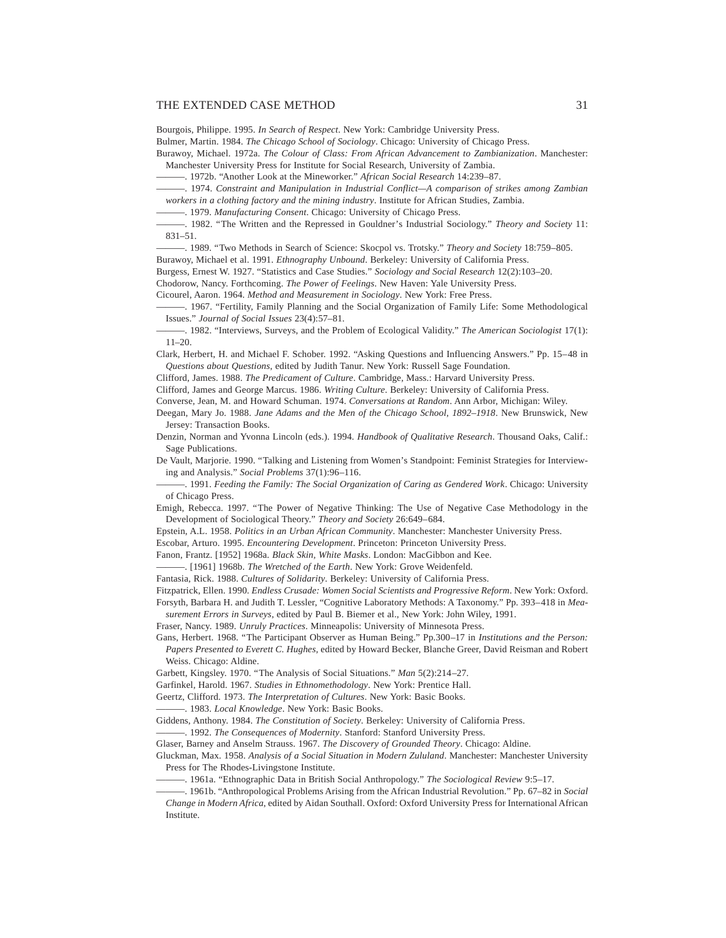Bourgois, Philippe. 1995. *In Search of Respect*. New York: Cambridge University Press.

Bulmer, Martin. 1984. *The Chicago School of Sociology*. Chicago: University of Chicago Press.

Burawoy, Michael. 1972a. *The Colour of Class: From African Advancement to Zambianization*. Manchester: Manchester University Press for Institute for Social Research, University of Zambia.

———. 1972b. "Another Look at the Mineworker." *African Social Research* 14:239–87.

———. 1974. *Constraint and Manipulation in Industrial Conflict—A comparison of strikes among Zambian workers in a clothing factory and the mining industry*. Institute for African Studies, Zambia.

———. 1979. *Manufacturing Consent*. Chicago: University of Chicago Press.

———. 1982. "The Written and the Repressed in Gouldner's Industrial Sociology." *Theory and Society* 11: 831–51.

———. 1989. "Two Methods in Search of Science: Skocpol vs. Trotsky." *Theory and Society* 18:759–805.

Burawoy, Michael et al. 1991. *Ethnography Unbound*. Berkeley: University of California Press.

Burgess, Ernest W. 1927. "Statistics and Case Studies." *Sociology and Social Research* 12(2):103–20.

Chodorow, Nancy. Forthcoming. *The Power of Feelings*. New Haven: Yale University Press.

Cicourel, Aaron. 1964. *Method and Measurement in Sociology*. New York: Free Press.

———. 1967. "Fertility, Family Planning and the Social Organization of Family Life: Some Methodological Issues." *Journal of Social Issues* 23(4):57–81.

———. 1982. "Interviews, Surveys, and the Problem of Ecological Validity." *The American Sociologist* 17(1): 11–20.

Clark, Herbert, H. and Michael F. Schober. 1992. "Asking Questions and Influencing Answers." Pp. 15–48 in *Questions about Questions*, edited by Judith Tanur. New York: Russell Sage Foundation.

Clifford, James. 1988. *The Predicament of Culture*. Cambridge, Mass.: Harvard University Press.

Clifford, James and George Marcus. 1986. *Writing Culture*. Berkeley: University of California Press.

Converse, Jean, M. and Howard Schuman. 1974. *Conversations at Random*. Ann Arbor, Michigan: Wiley.

Deegan, Mary Jo. 1988. *Jane Adams and the Men of the Chicago School, 1892–1918*. New Brunswick, New Jersey: Transaction Books.

Denzin, Norman and Yvonna Lincoln (eds.). 1994. *Handbook of Qualitative Research*. Thousand Oaks, Calif.: Sage Publications.

De Vault, Marjorie. 1990. "Talking and Listening from Women's Standpoint: Feminist Strategies for Interviewing and Analysis." *Social Problems* 37(1):96–116.

———. 1991. *Feeding the Family: The Social Organization of Caring as Gendered Work*. Chicago: University of Chicago Press.

Emigh, Rebecca. 1997. "The Power of Negative Thinking: The Use of Negative Case Methodology in the Development of Sociological Theory." *Theory and Society* 26:649–684.

Epstein, A.L. 1958. *Politics in an Urban African Community*. Manchester: Manchester University Press.

Escobar, Arturo. 1995. *Encountering Development*. Princeton: Princeton University Press.

Fanon, Frantz. [1952] 1968a. *Black Skin, White Masks*. London: MacGibbon and Kee.

———. [1961] 1968b. *The Wretched of the Earth*. New York: Grove Weidenfeld.

Fantasia, Rick. 1988. *Cultures of Solidarity*. Berkeley: University of California Press.

Fitzpatrick, Ellen. 1990. *Endless Crusade: Women Social Scientists and Progressive Reform*. New York: Oxford.

Forsyth, Barbara H. and Judith T. Lessler, "Cognitive Laboratory Methods: A Taxonomy." Pp. 393–418 in *Measurement Errors in Surveys*, edited by Paul B. Biemer et al., New York: John Wiley, 1991.

Fraser, Nancy. 1989. *Unruly Practices*. Minneapolis: University of Minnesota Press.

Gans, Herbert. 1968. "The Participant Observer as Human Being." Pp.300–17 in *Institutions and the Person: Papers Presented to Everett C. Hughes*, edited by Howard Becker, Blanche Greer, David Reisman and Robert Weiss. Chicago: Aldine.

Garbett, Kingsley. 1970. "The Analysis of Social Situations." *Man* 5(2):214–27.

Garfinkel, Harold. 1967. *Studies in Ethnomethodology*. New York: Prentice Hall.

Geertz, Clifford. 1973. *The Interpretation of Cultures*. New York: Basic Books.

———. 1983. *Local Knowledge*. New York: Basic Books.

Giddens, Anthony. 1984. *The Constitution of Society*. Berkeley: University of California Press.

———. 1992. *The Consequences of Modernity*. Stanford: Stanford University Press.

Glaser, Barney and Anselm Strauss. 1967. *The Discovery of Grounded Theory*. Chicago: Aldine.

Gluckman, Max. 1958. *Analysis of a Social Situation in Modern Zululand*. Manchester: Manchester University Press for The Rhodes-Livingstone Institute.

———. 1961a. "Ethnographic Data in British Social Anthropology." *The Sociological Review* 9:5–17.

———. 1961b. "Anthropological Problems Arising from the African Industrial Revolution." Pp. 67–82 in *Social Change in Modern Africa*, edited by Aidan Southall. Oxford: Oxford University Press for International African Institute.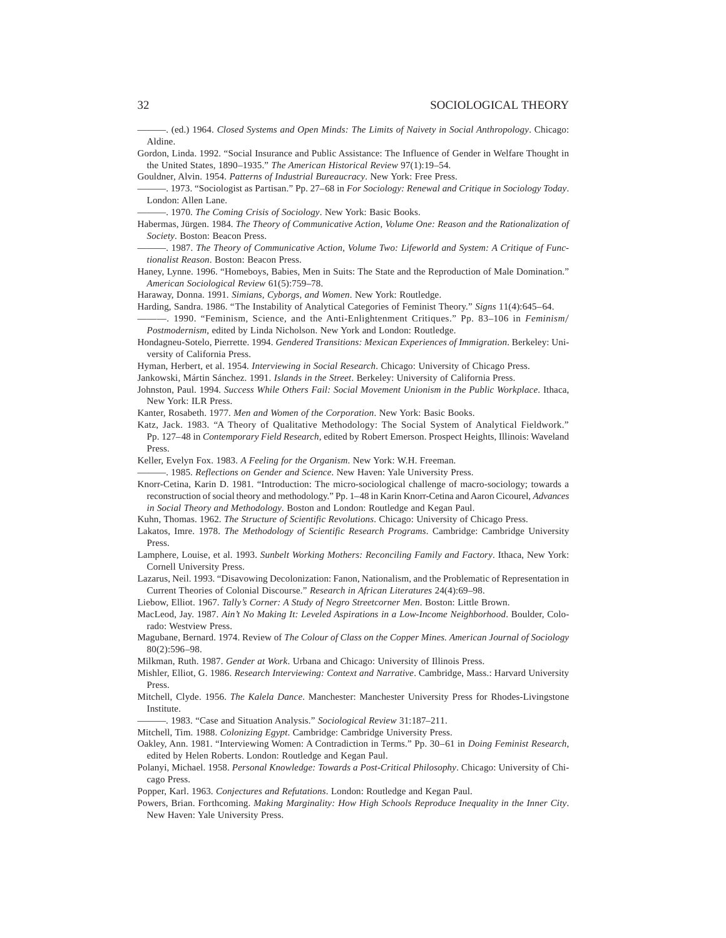———. (ed.) 1964. *Closed Systems and Open Minds: The Limits of Naivety in Social Anthropology*. Chicago: Aldine.

Gordon, Linda. 1992. "Social Insurance and Public Assistance: The Influence of Gender in Welfare Thought in the United States, 1890–1935." *The American Historical Review* 97(1):19–54.

Gouldner, Alvin. 1954. *Patterns of Industrial Bureaucracy*. New York: Free Press.

- ———. 1973. "Sociologist as Partisan." Pp. 27–68 in *For Sociology: Renewal and Critique in Sociology Today*. London: Allen Lane.
- ———. 1970. *The Coming Crisis of Sociology*. New York: Basic Books.
- Habermas, Jürgen. 1984. *The Theory of Communicative Action, Volume One: Reason and the Rationalization of Society*. Boston: Beacon Press.
- -. 1987. The Theory of Communicative Action, Volume Two: Lifeworld and System: A Critique of Func*tionalist Reason*. Boston: Beacon Press.
- Haney, Lynne. 1996. "Homeboys, Babies, Men in Suits: The State and the Reproduction of Male Domination." *American Sociological Review* 61(5):759–78.
- Haraway, Donna. 1991. *Simians, Cyborgs, and Women*. New York: Routledge.
- Harding, Sandra. 1986. "The Instability of Analytical Categories of Feminist Theory." *Signs* 11(4):645–64.
- -. 1990. "Feminism, Science, and the Anti-Enlightenment Critiques." Pp. 83–106 in *Feminism*/ *Postmodernism*, edited by Linda Nicholson. New York and London: Routledge.
- Hondagneu-Sotelo, Pierrette. 1994. *Gendered Transitions: Mexican Experiences of Immigration*. Berkeley: University of California Press.
- Hyman, Herbert, et al. 1954. *Interviewing in Social Research*. Chicago: University of Chicago Press.

Jankowski, Mártin Sánchez. 1991. *Islands in the Street*. Berkeley: University of California Press.

Johnston, Paul. 1994. *Success While Others Fail: Social Movement Unionism in the Public Workplace*. Ithaca, New York: ILR Press.

Kanter, Rosabeth. 1977. *Men and Women of the Corporation*. New York: Basic Books.

- Katz, Jack. 1983. "A Theory of Qualitative Methodology: The Social System of Analytical Fieldwork." Pp. 127–48 in *Contemporary Field Research*, edited by Robert Emerson. Prospect Heights, Illinois: Waveland Press.
- Keller, Evelyn Fox. 1983. *A Feeling for the Organism*. New York: W.H. Freeman.
- ———. 1985. *Reflections on Gender and Science*. New Haven: Yale University Press.
- Knorr-Cetina, Karin D. 1981. "Introduction: The micro-sociological challenge of macro-sociology; towards a reconstruction of social theory and methodology." Pp. 1–48 in Karin Knorr-Cetina and Aaron Cicourel, *Advances in Social Theory and Methodology*. Boston and London: Routledge and Kegan Paul.
- Kuhn, Thomas. 1962. *The Structure of Scientific Revolutions*. Chicago: University of Chicago Press.
- Lakatos, Imre. 1978. *The Methodology of Scientific Research Programs*. Cambridge: Cambridge University Press.
- Lamphere, Louise, et al. 1993. *Sunbelt Working Mothers: Reconciling Family and Factory*. Ithaca, New York: Cornell University Press.
- Lazarus, Neil. 1993. "Disavowing Decolonization: Fanon, Nationalism, and the Problematic of Representation in Current Theories of Colonial Discourse." *Research in African Literatures* 24(4):69–98.
- Liebow, Elliot. 1967. *Tally's Corner: A Study of Negro Streetcorner Men*. Boston: Little Brown.
- MacLeod, Jay. 1987. *Ain't No Making It: Leveled Aspirations in a Low-Income Neighborhood*. Boulder, Colorado: Westview Press.
- Magubane, Bernard. 1974. Review of *The Colour of Class on the Copper Mines. American Journal of Sociology* 80(2):596–98.
- Milkman, Ruth. 1987. *Gender at Work*. Urbana and Chicago: University of Illinois Press.
- Mishler, Elliot, G. 1986. *Research Interviewing: Context and Narrative*. Cambridge, Mass.: Harvard University Press.
- Mitchell, Clyde. 1956. *The Kalela Dance*. Manchester: Manchester University Press for Rhodes-Livingstone Institute.
- ———. 1983. "Case and Situation Analysis." *Sociological Review* 31:187–211.
- Mitchell, Tim. 1988. *Colonizing Egypt*. Cambridge: Cambridge University Press.
- Oakley, Ann. 1981. "Interviewing Women: A Contradiction in Terms." Pp. 30–61 in *Doing Feminist Research*, edited by Helen Roberts. London: Routledge and Kegan Paul.
- Polanyi, Michael. 1958. *Personal Knowledge: Towards a Post-Critical Philosophy*. Chicago: University of Chicago Press.
- Popper, Karl. 1963. *Conjectures and Refutations*. London: Routledge and Kegan Paul.
- Powers, Brian. Forthcoming. *Making Marginality: How High Schools Reproduce Inequality in the Inner City*. New Haven: Yale University Press.